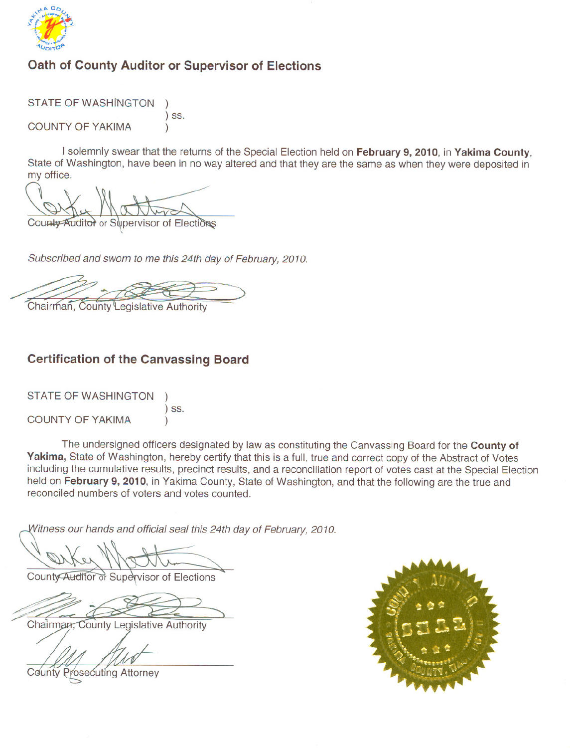

# Oath of County Auditor or Supervisor of Elections

**STATE OF WASHINGTON**  $)$  SS. **COUNTY OF YAKIMA**  $\mathcal{E}$ 

I solemnly swear that the returns of the Special Election held on February 9, 2010, in Yakima County, State of Washington, have been in no way altered and that they are the same as when they were deposited in my office.

County Auditor or Supervisor of Elections

Subscribed and sworn to me this 24th day of February, 2010.

Chairman, County Legislative Authority

### **Certification of the Canvassing Board**

**STATE OF WASHINGTON COUNTY OF YAKIMA** 

 $)$  SS.

The undersigned officers designated by law as constituting the Canvassing Board for the County of Yakima, State of Washington, hereby certify that this is a full, true and correct copy of the Abstract of Votes including the cumulative results, precinct results, and a reconciliation report of votes cast at the Special Election held on February 9, 2010, in Yakima County, State of Washington, and that the following are the true and reconciled numbers of voters and votes counted.

Witness our hands and official seal this 24th day of February, 2010.

County Auditor of Supervisor of Elections

Chairman, County Legislative Authority

**County Prosecuting Attorney** 

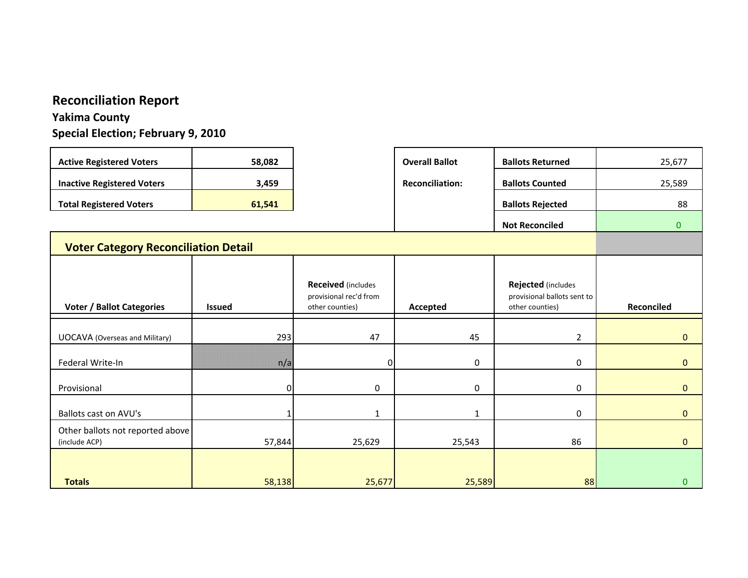### **Reconciliation Report**

### **Yakima County**

**Special Election; February 9, 2010**

| <b>Active Registered Voters</b>                   | 58,082        |                                                                        | <b>Overall Ballot</b>  | <b>Ballots Returned</b>                                              | 25,677       |
|---------------------------------------------------|---------------|------------------------------------------------------------------------|------------------------|----------------------------------------------------------------------|--------------|
| <b>Inactive Registered Voters</b>                 | 3,459         |                                                                        | <b>Reconciliation:</b> | <b>Ballots Counted</b>                                               | 25,589       |
| <b>Total Registered Voters</b>                    | 61,541        |                                                                        |                        | <b>Ballots Rejected</b>                                              | 88           |
|                                                   |               |                                                                        |                        | <b>Not Reconciled</b>                                                | $\mathbf{0}$ |
| <b>Voter Category Reconciliation Detail</b>       |               |                                                                        |                        |                                                                      |              |
|                                                   |               |                                                                        |                        |                                                                      |              |
| <b>Voter / Ballot Categories</b>                  | <b>Issued</b> | <b>Received</b> (includes<br>provisional rec'd from<br>other counties) | Accepted               | Rejected (includes<br>provisional ballots sent to<br>other counties) | Reconciled   |
|                                                   |               |                                                                        |                        |                                                                      |              |
| <b>UOCAVA</b> (Overseas and Military)             | 293           | 47                                                                     | 45                     | $\overline{2}$                                                       | $\mathbf{0}$ |
| Federal Write-In                                  | n/a           | ი                                                                      | 0                      | 0                                                                    | $\mathbf{0}$ |
| Provisional                                       | $\Omega$      | 0                                                                      | 0                      | 0                                                                    | $\mathbf{0}$ |
| Ballots cast on AVU's                             |               | $\mathbf{1}$                                                           | $\mathbf{1}$           | 0                                                                    | $\mathbf{0}$ |
| Other ballots not reported above<br>(include ACP) | 57,844        | 25,629                                                                 | 25,543                 | 86                                                                   | $\Omega$     |
| <b>Totals</b>                                     | 58,138        | 25,677                                                                 | 25,589                 | 88                                                                   | $\mathbf{0}$ |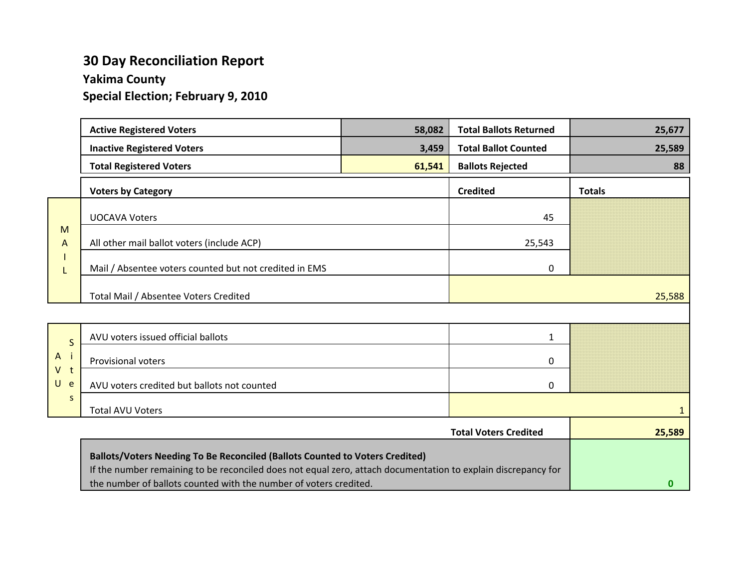# **30 Day Reconciliation Report**

### **Yakima County**

**Special Election; February 9, 2010**

|                       | <b>Active Registered Voters</b>                                                                               | 58,082 | <b>Total Ballots Returned</b> | 25,677        |
|-----------------------|---------------------------------------------------------------------------------------------------------------|--------|-------------------------------|---------------|
|                       | <b>Inactive Registered Voters</b>                                                                             | 3,459  | <b>Total Ballot Counted</b>   | 25,589        |
|                       | <b>Total Registered Voters</b>                                                                                | 61,541 | <b>Ballots Rejected</b>       | 88            |
|                       | <b>Voters by Category</b>                                                                                     |        | <b>Credited</b>               | <b>Totals</b> |
|                       | <b>UOCAVA Voters</b>                                                                                          |        | 45                            |               |
| M<br>A                | All other mail ballot voters (include ACP)                                                                    |        | 25,543                        |               |
| L                     | Mail / Absentee voters counted but not credited in EMS                                                        |        | 0                             |               |
|                       | Total Mail / Absentee Voters Credited                                                                         |        |                               | 25,588        |
|                       |                                                                                                               |        |                               |               |
| $\mathsf{S}$          | AVU voters issued official ballots                                                                            |        | 1                             |               |
| $\mathsf{A}$<br>$V$ t | <b>Provisional voters</b>                                                                                     |        | 0                             |               |
| U<br>e                | AVU voters credited but ballots not counted                                                                   |        | 0                             |               |
| S                     | <b>Total AVU Voters</b>                                                                                       |        |                               | 1             |
|                       |                                                                                                               |        | <b>Total Voters Credited</b>  | 25,589        |
|                       | Ballots/Voters Needing To Be Reconciled (Ballots Counted to Voters Credited)                                  |        |                               |               |
|                       | If the number remaining to be reconciled does not equal zero, attach documentation to explain discrepancy for |        |                               |               |

**0**

the number of ballots counted with the number of voters credited.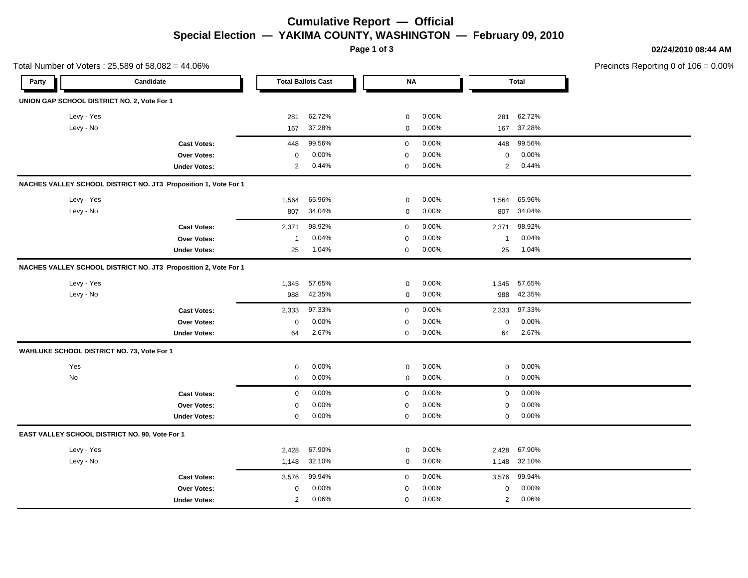### **Cumulative Report — Official Special Election — YAKIMA COUNTY, WASHINGTON — February 09, 2010**

**Page 1 of 3**

**02/24/2010 08:44 AM**

Precincts Reporting 0 of 106 = 0.00%

|       | Total Number of Voters: 25,589 of 58,082 = 44.06%               |                     |                |                           |             |       |                |              | Precincts Reporting 0 of 1 |
|-------|-----------------------------------------------------------------|---------------------|----------------|---------------------------|-------------|-------|----------------|--------------|----------------------------|
| Party | Candidate                                                       |                     |                | <b>Total Ballots Cast</b> | <b>NA</b>   |       |                | <b>Total</b> |                            |
|       | UNION GAP SCHOOL DISTRICT NO. 2, Vote For 1                     |                     |                |                           |             |       |                |              |                            |
|       | Levy - Yes                                                      |                     | 281            | 62.72%                    | $\pmb{0}$   | 0.00% | 281            | 62.72%       |                            |
|       | Levy - No                                                       |                     | 167            | 37.28%                    | $\mathbf 0$ | 0.00% | 167            | 37.28%       |                            |
|       |                                                                 | <b>Cast Votes:</b>  | 448            | 99.56%                    | $\mathbf 0$ | 0.00% | 448            | 99.56%       |                            |
|       |                                                                 | <b>Over Votes:</b>  | $\mathbf 0$    | 0.00%                     | $\mathbf 0$ | 0.00% | 0              | $0.00\%$     |                            |
|       |                                                                 | <b>Under Votes:</b> | $\overline{2}$ | 0.44%                     | $\mathbf 0$ | 0.00% | $\overline{2}$ | 0.44%        |                            |
|       | NACHES VALLEY SCHOOL DISTRICT NO. JT3 Proposition 1, Vote For 1 |                     |                |                           |             |       |                |              |                            |
|       | Levy - Yes                                                      |                     | 1,564          | 65.96%                    | $\pmb{0}$   | 0.00% | 1,564          | 65.96%       |                            |
|       | Levy - No                                                       |                     | 807            | 34.04%                    | $\mathbf 0$ | 0.00% | 807            | 34.04%       |                            |
|       |                                                                 | <b>Cast Votes:</b>  | 2,371          | 98.92%                    | $\mathbf 0$ | 0.00% | 2,371          | 98.92%       |                            |
|       |                                                                 | Over Votes:         | $\mathbf 1$    | 0.04%                     | $\mathbf 0$ | 0.00% | $\overline{1}$ | 0.04%        |                            |
|       |                                                                 | <b>Under Votes:</b> | 25             | 1.04%                     | $\mathbf 0$ | 0.00% | 25             | 1.04%        |                            |
|       | NACHES VALLEY SCHOOL DISTRICT NO. JT3 Proposition 2, Vote For 1 |                     |                |                           |             |       |                |              |                            |
|       | Levy - Yes                                                      |                     | 1,345          | 57.65%                    | 0           | 0.00% | 1,345          | 57.65%       |                            |
|       | Levy - No                                                       |                     | 988            | 42.35%                    | 0           | 0.00% | 988            | 42.35%       |                            |
|       |                                                                 | <b>Cast Votes:</b>  | 2,333          | 97.33%                    | $\mathbf 0$ | 0.00% | 2,333          | 97.33%       |                            |
|       |                                                                 | Over Votes:         | $\mathbf 0$    | 0.00%                     | $\mathbf 0$ | 0.00% | 0              | 0.00%        |                            |
|       |                                                                 | <b>Under Votes:</b> | 64             | 2.67%                     | 0           | 0.00% | 64             | 2.67%        |                            |
|       | WAHLUKE SCHOOL DISTRICT NO. 73, Vote For 1                      |                     |                |                           |             |       |                |              |                            |
|       | Yes                                                             |                     | $\mathbf 0$    | 0.00%                     | 0           | 0.00% | 0              | 0.00%        |                            |
|       | No                                                              |                     | $\mathbf 0$    | 0.00%                     | $\pmb{0}$   | 0.00% | 0              | 0.00%        |                            |
|       |                                                                 | <b>Cast Votes:</b>  | $\mathsf 0$    | 0.00%                     | $\mathbf 0$ | 0.00% | $\mathbf 0$    | 0.00%        |                            |
|       |                                                                 | Over Votes:         | $\mathbf 0$    | 0.00%                     | $\mathbf 0$ | 0.00% | 0              | 0.00%        |                            |
|       |                                                                 | <b>Under Votes:</b> | $\mathbf 0$    | 0.00%                     | 0           | 0.00% | 0              | 0.00%        |                            |
|       | EAST VALLEY SCHOOL DISTRICT NO. 90, Vote For 1                  |                     |                |                           |             |       |                |              |                            |
|       | Levy - Yes                                                      |                     | 2,428          | 67.90%                    | $\pmb{0}$   | 0.00% | 2,428          | 67.90%       |                            |
|       | Levy - No                                                       |                     | 1,148          | 32.10%                    | 0           | 0.00% | 1,148          | 32.10%       |                            |
|       |                                                                 | <b>Cast Votes:</b>  | 3,576          | 99.94%                    | $\mathbf 0$ | 0.00% | 3,576          | 99.94%       |                            |
|       |                                                                 | Over Votes:         | $\mathbf 0$    | 0.00%                     | 0           | 0.00% | 0              | $0.00\%$     |                            |
|       |                                                                 | <b>Under Votes:</b> | $\mathbf{2}$   | 0.06%                     | $\mathbf 0$ | 0.00% | $\overline{2}$ | 0.06%        |                            |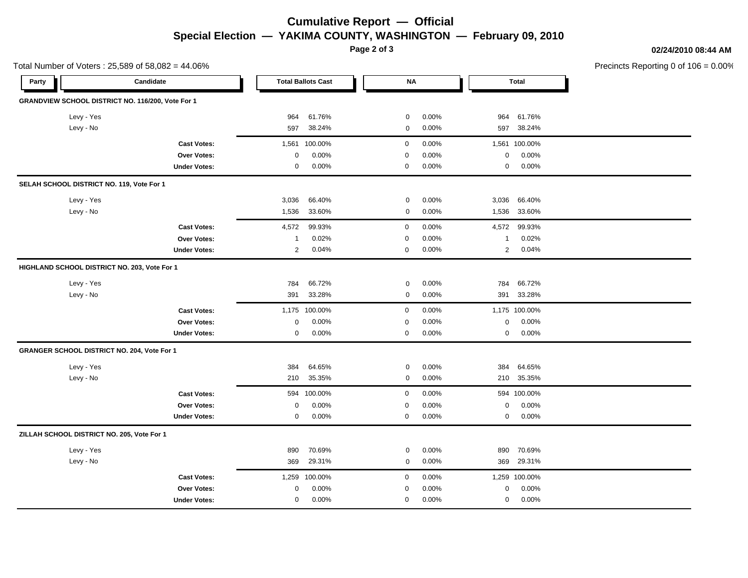### **Cumulative Report — Official Special Election — YAKIMA COUNTY, WASHINGTON — February 09, 2010**

**Page 2 of 3**

**02/24/2010 08:44 AM**

Precincts Reporting 0 of 106 = 0.00%

|                                            | Total Number of Voters: 25,589 of 58,082 = 44.06% |                |                           |             |       |                |              | Precincts Reporting 0 of 1 |
|--------------------------------------------|---------------------------------------------------|----------------|---------------------------|-------------|-------|----------------|--------------|----------------------------|
| Party                                      | Candidate                                         |                | <b>Total Ballots Cast</b> | $\sf NA$    |       |                | <b>Total</b> |                            |
|                                            | GRANDVIEW SCHOOL DISTRICT NO. 116/200, Vote For 1 |                |                           |             |       |                |              |                            |
| Levy - Yes                                 |                                                   | 964            | 61.76%                    | 0           | 0.00% | 964            | 61.76%       |                            |
| Levy - No                                  |                                                   | 597            | 38.24%                    | 0           | 0.00% | 597            | 38.24%       |                            |
|                                            | <b>Cast Votes:</b>                                | 1,561          | 100.00%                   | $\mathsf 0$ | 0.00% | 1,561          | 100.00%      |                            |
|                                            | Over Votes:                                       | $\mathbf 0$    | 0.00%                     | $\mathbf 0$ | 0.00% | 0              | 0.00%        |                            |
|                                            | <b>Under Votes:</b>                               | $\mathbf 0$    | 0.00%                     | $\mathbf 0$ | 0.00% | 0              | 0.00%        |                            |
| SELAH SCHOOL DISTRICT NO. 119, Vote For 1  |                                                   |                |                           |             |       |                |              |                            |
| Levy - Yes                                 |                                                   | 3,036          | 66.40%                    | 0           | 0.00% | 3,036          | 66.40%       |                            |
| Levy - No                                  |                                                   | 1,536          | 33.60%                    | 0           | 0.00% | 1,536          | 33.60%       |                            |
|                                            | <b>Cast Votes:</b>                                | 4,572          | 99.93%                    | $\mathbf 0$ | 0.00% | 4,572          | 99.93%       |                            |
|                                            | Over Votes:                                       | $\overline{1}$ | 0.02%                     | $\mathbf 0$ | 0.00% | $\mathbf{1}$   | 0.02%        |                            |
|                                            | <b>Under Votes:</b>                               | $\overline{2}$ | 0.04%                     | $\mathbf 0$ | 0.00% | $\overline{2}$ | 0.04%        |                            |
|                                            | HIGHLAND SCHOOL DISTRICT NO. 203, Vote For 1      |                |                           |             |       |                |              |                            |
| Levy - Yes                                 |                                                   | 784            | 66.72%                    | 0           | 0.00% | 784            | 66.72%       |                            |
| Levy - No                                  |                                                   | 391            | 33.28%                    | 0           | 0.00% | 391            | 33.28%       |                            |
|                                            | <b>Cast Votes:</b>                                | 1,175          | 100.00%                   | $\mathbf 0$ | 0.00% | 1,175          | 100.00%      |                            |
|                                            | Over Votes:                                       | $\mathbf 0$    | 0.00%                     | $\mathbf 0$ | 0.00% | 0              | 0.00%        |                            |
|                                            | <b>Under Votes:</b>                               | $\mathbf 0$    | 0.00%                     | $\mathbf 0$ | 0.00% | 0              | 0.00%        |                            |
|                                            | GRANGER SCHOOL DISTRICT NO. 204, Vote For 1       |                |                           |             |       |                |              |                            |
| Levy - Yes                                 |                                                   | 384            | 64.65%                    | 0           | 0.00% | 384            | 64.65%       |                            |
| Levy - No                                  |                                                   | 210            | 35.35%                    | 0           | 0.00% | 210            | 35.35%       |                            |
|                                            | <b>Cast Votes:</b>                                | 594            | 100.00%                   | $\mathbf 0$ | 0.00% |                | 594 100.00%  |                            |
|                                            | Over Votes:                                       | 0              | 0.00%                     | $\mathbf 0$ | 0.00% | $\mathbf 0$    | 0.00%        |                            |
|                                            | <b>Under Votes:</b>                               | $\mathbf 0$    | 0.00%                     | $\mathbf 0$ | 0.00% | 0              | 0.00%        |                            |
| ZILLAH SCHOOL DISTRICT NO. 205, Vote For 1 |                                                   |                |                           |             |       |                |              |                            |
| Levy - Yes                                 |                                                   | 890            | 70.69%                    | 0           | 0.00% | 890            | 70.69%       |                            |
| Levy - No                                  |                                                   | 369            | 29.31%                    | 0           | 0.00% | 369            | 29.31%       |                            |
|                                            | <b>Cast Votes:</b>                                | 1,259          | 100.00%                   | $\mathbf 0$ | 0.00% | 1,259          | 100.00%      |                            |
|                                            | Over Votes:                                       | 0              | 0.00%                     | $\mathbf 0$ | 0.00% | 0              | 0.00%        |                            |
|                                            | <b>Under Votes:</b>                               | $\mathbf 0$    | 0.00%                     | $\mathbf 0$ | 0.00% | 0              | 0.00%        |                            |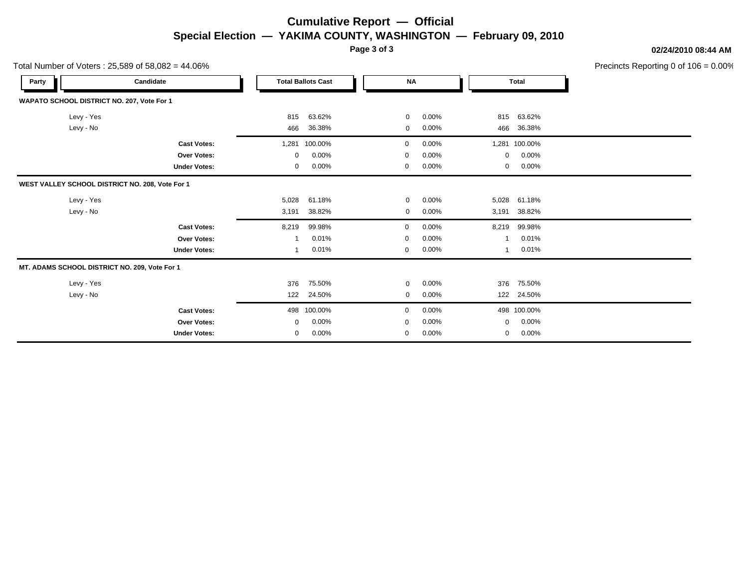## **Cumulative Report — Official Special Election — YAKIMA COUNTY, WASHINGTON — February 09, 2010**

**Page 3 of 3**

### **02/24/2010 08:44 AM**

Precincts Reporting 0 of 106 = 0.00%

|                                               | Total Number of Voters: $25,589$ of $58,082 = 44.06\%$ |       |                           |             |          |          |               | Precincts Reporting 0 of 10 |
|-----------------------------------------------|--------------------------------------------------------|-------|---------------------------|-------------|----------|----------|---------------|-----------------------------|
| Party                                         | Candidate                                              |       | <b>Total Ballots Cast</b> | <b>NA</b>   |          |          | <b>Total</b>  |                             |
| WAPATO SCHOOL DISTRICT NO. 207, Vote For 1    |                                                        |       |                           |             |          |          |               |                             |
| Levy - Yes                                    |                                                        | 815   | 63.62%                    | $\mathbf 0$ | 0.00%    | 815      | 63.62%        |                             |
| Levy - No                                     |                                                        | 466   | 36.38%                    | 0           | 0.00%    | 466      | 36.38%        |                             |
|                                               | <b>Cast Votes:</b>                                     |       | 1,281 100.00%             | 0           | $0.00\%$ |          | 1,281 100.00% |                             |
|                                               | Over Votes:                                            | 0     | 0.00%                     | 0           | 0.00%    | 0        | 0.00%         |                             |
|                                               | <b>Under Votes:</b>                                    | 0     | 0.00%                     | 0           | 0.00%    | 0        | 0.00%         |                             |
|                                               | WEST VALLEY SCHOOL DISTRICT NO. 208, Vote For 1        |       |                           |             |          |          |               |                             |
| Levy - Yes                                    |                                                        | 5,028 | 61.18%                    | 0           | 0.00%    | 5,028    | 61.18%        |                             |
| Levy - No                                     |                                                        | 3,191 | 38.82%                    | $\mathbf 0$ | 0.00%    | 3,191    | 38.82%        |                             |
|                                               | <b>Cast Votes:</b>                                     | 8,219 | 99.98%                    | 0           | $0.00\%$ | 8,219    | 99.98%        |                             |
|                                               | Over Votes:                                            |       | 0.01%                     | 0           | 0.00%    |          | 0.01%         |                             |
|                                               | <b>Under Votes:</b>                                    | 1     | 0.01%                     | 0           | 0.00%    | 1        | 0.01%         |                             |
| MT. ADAMS SCHOOL DISTRICT NO. 209, Vote For 1 |                                                        |       |                           |             |          |          |               |                             |
| Levy - Yes                                    |                                                        | 376   | 75.50%                    | 0           | $0.00\%$ | 376      | 75.50%        |                             |
| Levy - No                                     |                                                        | 122   | 24.50%                    | 0           | 0.00%    | 122      | 24.50%        |                             |
|                                               | <b>Cast Votes:</b>                                     | 498   | 100.00%                   | 0           | $0.00\%$ |          | 498 100.00%   |                             |
|                                               | <b>Over Votes:</b>                                     | 0     | 0.00%                     | 0           | 0.00%    | $\Omega$ | 0.00%         |                             |
|                                               | <b>Under Votes:</b>                                    | 0     | 0.00%                     | 0           | 0.00%    | 0        | 0.00%         |                             |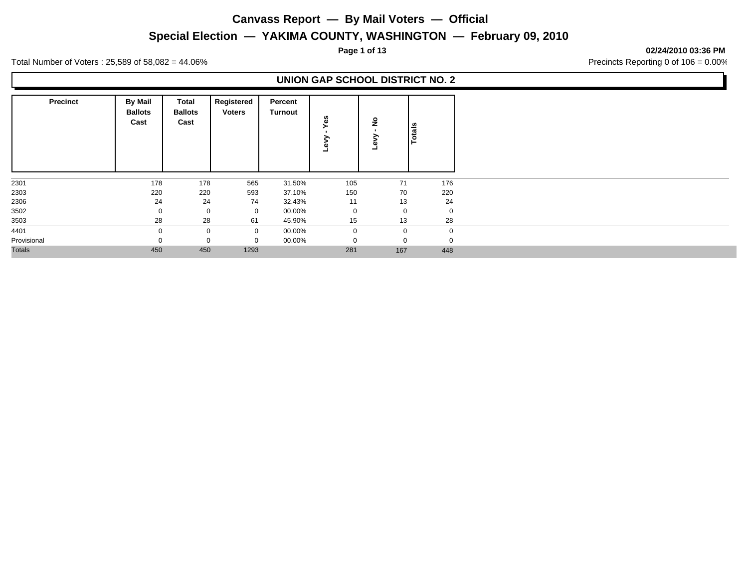### **Special Election — YAKIMA COUNTY, WASHINGTON — February 09, 2010**

**Page 1 of 13 02/24/2010 03:36 PM**

Total Number of Voters : 25,589 of 58,082 = 44.06% Precincts Reporting 0 of 106 = 0.00%

### **UNION GAP SCHOOL DISTRICT NO. 2**

| <b>Precinct</b> | <b>By Mail</b><br><b>Ballots</b><br>Cast | Total<br><b>Ballots</b><br>Cast | Registered<br><b>Voters</b> | Percent<br>Turnout | မိ<br>∽     | $\frac{9}{2}$ | Totals      |
|-----------------|------------------------------------------|---------------------------------|-----------------------------|--------------------|-------------|---------------|-------------|
| 2301            | 178                                      | 178                             | 565                         | 31.50%             | 105         | 71            | 176         |
| 2303            | 220                                      | 220                             | 593                         | 37.10%             | 150         | 70            | 220         |
| 2306            | 24                                       | 24                              | 74                          | 32.43%             | 11          | 13            | 24          |
| 3502            | $\mathbf 0$                              | $\mathbf 0$                     | $\mathbf 0$                 | 00.00%             | $\mathbf 0$ | $\mathbf 0$   | $\mathbf 0$ |
| 3503            | 28                                       | 28                              | 61                          | 45.90%             | 15          | 13            | 28          |
| 4401            | $\Omega$                                 | 0                               | $\mathbf 0$                 | 00.00%             | $\mathbf 0$ | $\mathbf 0$   | $\Omega$    |
| Provisional     |                                          |                                 | $\Omega$                    | 00.00%             | $\mathbf 0$ | $\mathbf 0$   |             |
| <b>Totals</b>   | 450                                      | 450                             | 1293                        |                    | 281         | 167           | 448         |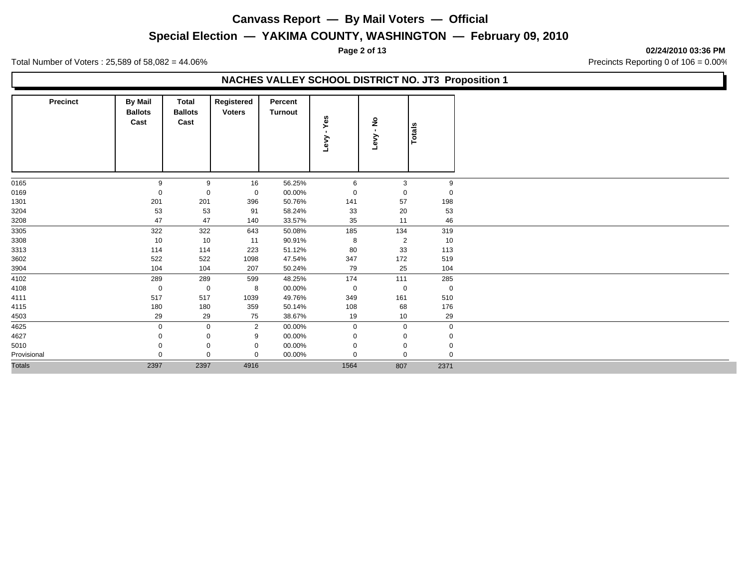### **Special Election — YAKIMA COUNTY, WASHINGTON — February 09, 2010**

**Page 2 of 13 02/24/2010 03:36 PM**

Total Number of Voters : 25,589 of 58,082 = 44.06% Precincts Reporting 0 of 106 = 0.00%

### **NACHES VALLEY SCHOOL DISTRICT NO. JT3 Proposition 1**

| <b>Precinct</b> | <b>By Mail</b><br><b>Ballots</b><br>Cast | Total<br><b>Ballots</b><br>Cast | Registered<br><b>Voters</b> | Percent<br><b>Turnout</b> | Yes<br>$\mathbf{r}$<br>Levy | ş<br>$\mathbf{r}$<br>Levy | <b>Totals</b> |
|-----------------|------------------------------------------|---------------------------------|-----------------------------|---------------------------|-----------------------------|---------------------------|---------------|
| 0165            | 9                                        | 9                               | 16                          | 56.25%                    | 6                           | 3                         | 9             |
| 0169            | 0                                        | 0                               | 0                           | 00.00%                    | $\Omega$                    | $\Omega$                  | $\Omega$      |
| 1301            | 201                                      | 201                             | 396                         | 50.76%                    | 141                         | 57                        | 198           |
| 3204            | 53                                       | 53                              | 91                          | 58.24%                    | 33                          | 20                        | 53            |
| 3208            | 47                                       | 47                              | 140                         | 33.57%                    | 35                          | 11                        | 46            |
| 3305            | 322                                      | 322                             | 643                         | 50.08%                    | 185                         | 134                       | 319           |
| 3308            | 10                                       | 10                              | 11                          | 90.91%                    | 8                           | $\overline{2}$            | 10            |
| 3313            | 114                                      | 114                             | 223                         | 51.12%                    | 80                          | 33                        | 113           |
| 3602            | 522                                      | 522                             | 1098                        | 47.54%                    | 347                         | 172                       | 519           |
| 3904            | 104                                      | 104                             | 207                         | 50.24%                    | 79                          | 25                        | 104           |
| 4102            | 289                                      | 289                             | 599                         | 48.25%                    | 174                         | 111                       | 285           |
| 4108            | $\mathbf 0$                              | $\mathbf 0$                     | 8                           | 00.00%                    | $\mathbf 0$                 | 0                         | $\mathbf 0$   |
| 4111            | 517                                      | 517                             | 1039                        | 49.76%                    | 349                         | 161                       | 510           |
| 4115            | 180                                      | 180                             | 359                         | 50.14%                    | 108                         | 68                        | 176           |
| 4503            | 29                                       | 29                              | 75                          | 38.67%                    | 19                          | 10                        | 29            |
| 4625            | $\mathbf 0$                              | $\mathbf 0$                     | $\overline{2}$              | 00.00%                    | $\mathbf 0$                 | $\mathbf 0$               | $\mathbf 0$   |
| 4627            | 0                                        | 0                               | 9                           | 00.00%                    | 0                           | 0                         | 0             |
| 5010            |                                          | $\mathbf 0$                     | $\mathbf 0$                 | 00.00%                    | $\Omega$                    | $\Omega$                  | $\Omega$      |
| Provisional     | $\Omega$                                 | $\mathbf 0$                     | $\mathbf 0$                 | 00.00%                    | $\Omega$                    | $\Omega$                  | $\Omega$      |
| <b>Totals</b>   | 2397                                     | 2397                            | 4916                        |                           | 1564                        | 807                       | 2371          |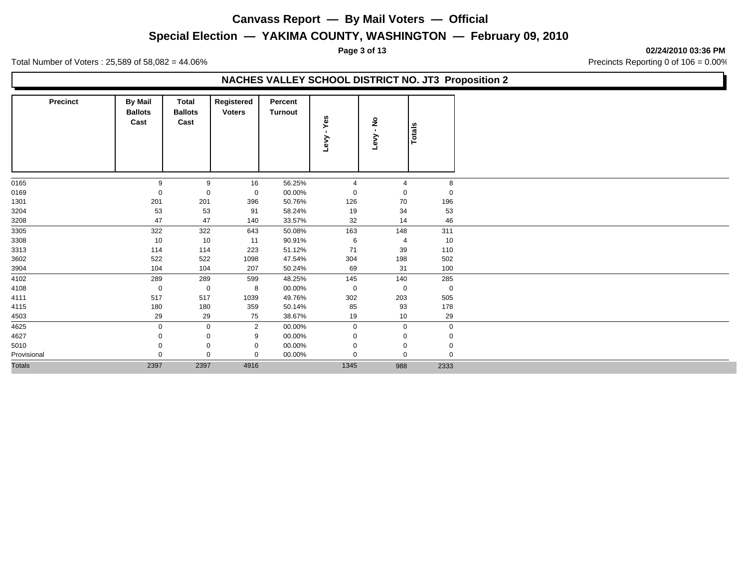### **Special Election — YAKIMA COUNTY, WASHINGTON — February 09, 2010**

**Page 3 of 13 02/24/2010 03:36 PM**

Total Number of Voters : 25,589 of 58,082 = 44.06% Precincts Reporting 0 of 106 = 0.00%

### **NACHES VALLEY SCHOOL DISTRICT NO. JT3 Proposition 2**

| <b>Precinct</b> | <b>By Mail</b><br><b>Ballots</b><br>Cast | Total<br><b>Ballots</b><br>Cast | Registered<br><b>Voters</b> | Percent<br>Turnout | Yes<br>$\blacksquare$<br>Levy | ş<br>$\mathbf{r}$<br>Levy | <b>Totals</b> |
|-----------------|------------------------------------------|---------------------------------|-----------------------------|--------------------|-------------------------------|---------------------------|---------------|
| 0165            | 9                                        | 9                               | 16                          | 56.25%             | $\overline{4}$                | $\overline{4}$            | 8             |
| 0169            | $\Omega$                                 | $\mathbf 0$                     | 0                           | 00.00%             | 0                             | 0                         | $\Omega$      |
| 1301            | 201                                      | 201                             | 396                         | 50.76%             | 126                           | 70                        | 196           |
| 3204            | 53                                       | 53                              | 91                          | 58.24%             | 19                            | 34                        | 53            |
| 3208            | 47                                       | 47                              | 140                         | 33.57%             | 32                            | 14                        | 46            |
| 3305            | 322                                      | 322                             | 643                         | 50.08%             | 163                           | 148                       | 311           |
| 3308            | 10                                       | 10                              | 11                          | 90.91%             | 6                             | $\overline{4}$            | 10            |
| 3313            | 114                                      | 114                             | 223                         | 51.12%             | 71                            | 39                        | 110           |
| 3602            | 522                                      | 522                             | 1098                        | 47.54%             | 304                           | 198                       | 502           |
| 3904            | 104                                      | 104                             | 207                         | 50.24%             | 69                            | 31                        | 100           |
| 4102            | 289                                      | 289                             | 599                         | 48.25%             | 145                           | 140                       | 285           |
| 4108            | $\mathbf 0$                              | $\mathbf 0$                     | 8                           | 00.00%             | $\mathbf 0$                   | $\mathbf 0$               | $\mathbf 0$   |
| 4111            | 517                                      | 517                             | 1039                        | 49.76%             | 302                           | 203                       | 505           |
| 4115            | 180                                      | 180                             | 359                         | 50.14%             | 85                            | 93                        | 178           |
| 4503            | 29                                       | 29                              | 75                          | 38.67%             | 19                            | 10                        | 29            |
| 4625            | $\mathbf 0$                              | $\mathbf 0$                     | $\overline{2}$              | 00.00%             | 0                             | $\mathbf 0$               | $\mathbf 0$   |
| 4627            |                                          | $\mathbf 0$                     | 9                           | 00.00%             | $\Omega$                      | 0                         | $\Omega$      |
| 5010            |                                          | $\mathbf 0$                     | $\mathbf 0$                 | 00.00%             | 0                             | 0                         |               |
| Provisional     | 0                                        | $\mathbf 0$                     | $\Omega$                    | 00.00%             | $\Omega$                      | $\mathbf 0$               | $\Omega$      |
| <b>Totals</b>   | 2397                                     | 2397                            | 4916                        |                    | 1345                          | 988                       | 2333          |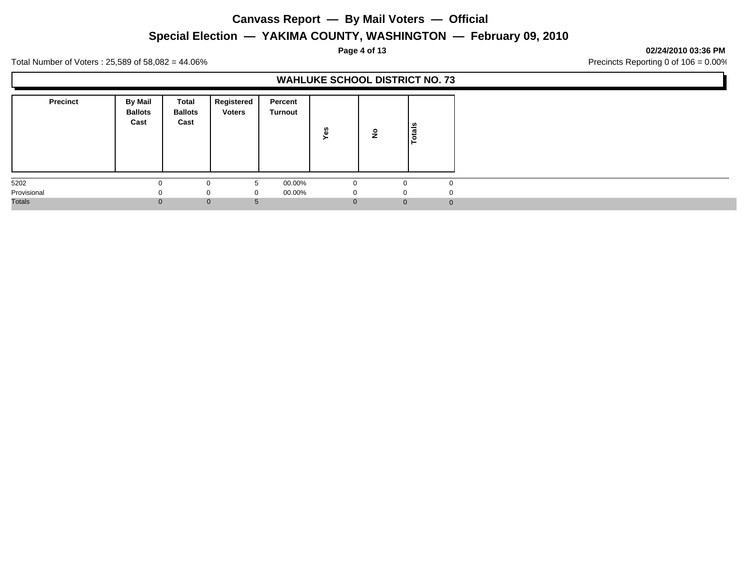**Special Election — YAKIMA COUNTY, WASHINGTON — February 09, 2010**

**Page 4 of 13 02/24/2010 03:36 PM**

Total Number of Voters : 25,589 of 58,082 = 44.06% Precincts Reporting 0 of 106 = 0.00%

|                 |                                   |                                 |                             |                    | <b>WAHLUKE SCHOOL DISTRICT NO. 73</b> |                |              |
|-----------------|-----------------------------------|---------------------------------|-----------------------------|--------------------|---------------------------------------|----------------|--------------|
| <b>Precinct</b> | By Mail<br><b>Ballots</b><br>Cast | Total<br><b>Ballots</b><br>Cast | Registered<br><b>Voters</b> | Percent<br>Turnout | 8                                     |                | otals<br>⊢   |
| 5202            |                                   |                                 | 5                           | 00.00%             | C                                     |                | $\Omega$     |
| Provisional     | $\Omega$                          |                                 | 0<br>$\Omega$               | 00.00%             | - 0                                   |                | $\Omega$     |
| Totals          |                                   | $\mathbf{0}$                    | .C                          |                    | 0                                     | $\overline{0}$ | $\mathbf{0}$ |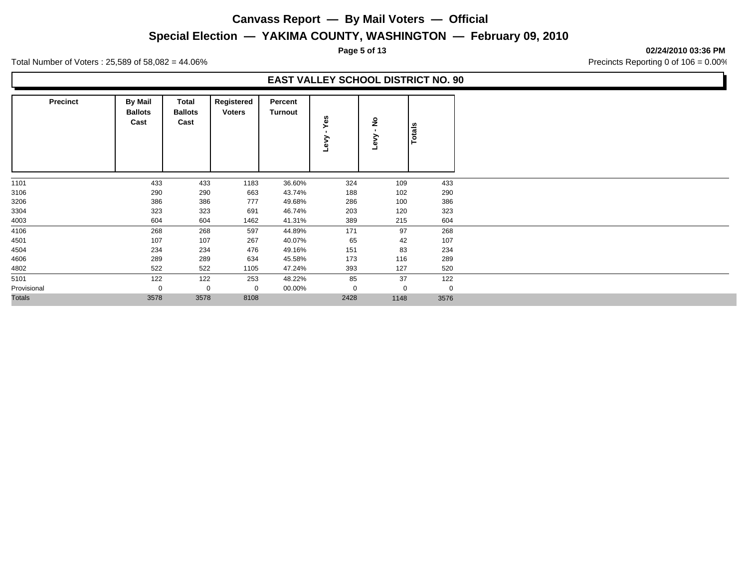### **Special Election — YAKIMA COUNTY, WASHINGTON — February 09, 2010**

**Page 5 of 13 02/24/2010 03:36 PM**

Total Number of Voters : 25,589 of 58,082 = 44.06% Precincts Reporting 0 of 106 = 0.00%

### **EAST VALLEY SCHOOL DISTRICT NO. 90**

| <b>Precinct</b> | <b>By Mail</b><br><b>Ballots</b><br>Cast | Total<br><b>Ballots</b><br>Cast | Registered<br><b>Voters</b> | Percent<br>Turnout | Yes<br>Λəη | $\frac{1}{2}$<br>ξý<br>ᆜ | <b>Totals</b> |
|-----------------|------------------------------------------|---------------------------------|-----------------------------|--------------------|------------|--------------------------|---------------|
| 1101            | 433                                      | 433                             | 1183                        | 36.60%             | 324        | 109                      | 433           |
| 3106            | 290                                      | 290                             | 663                         | 43.74%             | 188        | 102                      | 290           |
| 3206            | 386                                      | 386                             | 777                         | 49.68%             | 286        | 100                      | 386           |
| 3304            | 323                                      | 323                             | 691                         | 46.74%             | 203        | 120                      | 323           |
| 4003            | 604                                      | 604                             | 1462                        | 41.31%             | 389        | 215                      | 604           |
| 4106            | 268                                      | 268                             | 597                         | 44.89%             | 171        | 97                       | 268           |
| 4501            | 107                                      | 107                             | 267                         | 40.07%             | 65         | 42                       | 107           |
| 4504            | 234                                      | 234                             | 476                         | 49.16%             | 151        | 83                       | 234           |
| 4606            | 289                                      | 289                             | 634                         | 45.58%             | 173        | 116                      | 289           |
| 4802            | 522                                      | 522                             | 1105                        | 47.24%             | 393        | 127                      | 520           |
| 5101            | 122                                      | 122                             | 253                         | 48.22%             | 85         | 37                       | 122           |
| Provisional     | $\mathbf 0$                              | $\mathbf 0$                     | $\mathbf 0$                 | 00.00%             | 0          | $\mathbf 0$              | $\mathbf 0$   |
| <b>Totals</b>   | 3578                                     | 3578                            | 8108                        |                    | 2428       | 1148                     | 3576          |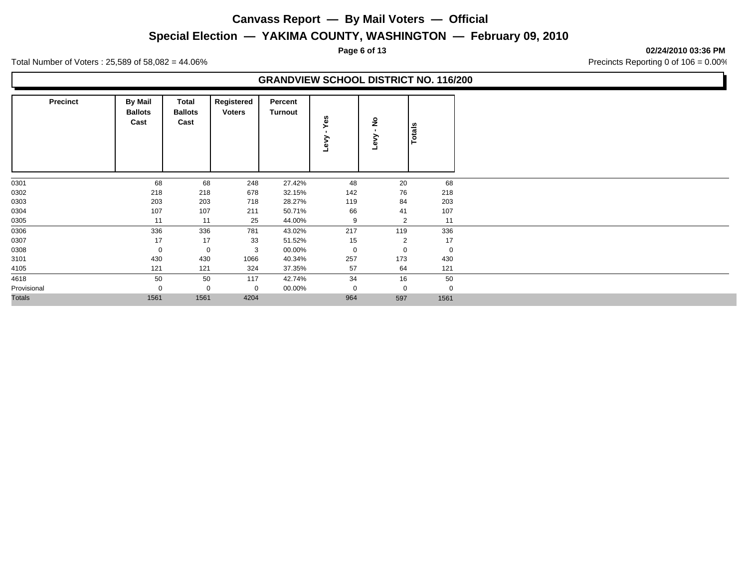### **Special Election — YAKIMA COUNTY, WASHINGTON — February 09, 2010**

**Page 6 of 13 02/24/2010 03:36 PM**

Total Number of Voters : 25,589 of 58,082 = 44.06% Precincts Reporting 0 of 106 = 0.00%

### **GRANDVIEW SCHOOL DISTRICT NO. 116/200**

| <b>Precinct</b> | <b>By Mail</b><br><b>Ballots</b><br>Cast | Total<br><b>Ballots</b><br>Cast | Registered<br><b>Voters</b> | Percent<br>Turnout | Yes<br>Λeη | ş<br>డె        | Totals      |
|-----------------|------------------------------------------|---------------------------------|-----------------------------|--------------------|------------|----------------|-------------|
| 0301            | 68                                       | 68                              | 248                         | 27.42%             | 48         | 20             | 68          |
| 0302            | 218                                      | 218                             | 678                         | 32.15%             | 142        | 76             | 218         |
| 0303            | 203                                      | 203                             | 718                         | 28.27%             | 119        | 84             | 203         |
| 0304            | 107                                      | 107                             | 211                         | 50.71%             | 66         | 41             | 107         |
| 0305            | 11                                       | 11                              | 25                          | 44.00%             | 9          | $\overline{2}$ | 11          |
| 0306            | 336                                      | 336                             | 781                         | 43.02%             | 217        | 119            | 336         |
| 0307            | 17                                       | 17                              | 33                          | 51.52%             | 15         | $\overline{2}$ | 17          |
| 0308            | 0                                        | $\mathbf 0$                     | 3                           | 00.00%             | 0          | 0              | $\mathbf 0$ |
| 3101            | 430                                      | 430                             | 1066                        | 40.34%             | 257        | 173            | 430         |
| 4105            | 121                                      | 121                             | 324                         | 37.35%             | 57         | 64             | 121         |
| 4618            | 50                                       | 50                              | 117                         | 42.74%             | 34         | 16             | 50          |
| Provisional     |                                          | $\mathbf 0$                     | 0                           | 00.00%             | 0          | $\mathbf 0$    | $\Omega$    |
| <b>Totals</b>   | 1561                                     | 1561                            | 4204                        |                    | 964        | 597            | 1561        |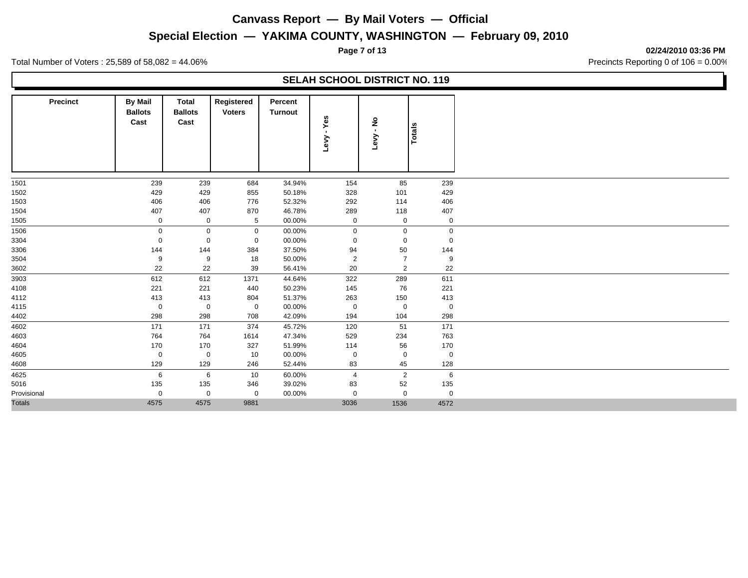### **Special Election — YAKIMA COUNTY, WASHINGTON — February 09, 2010**

**Page 7 of 13 02/24/2010 03:36 PM**

Total Number of Voters : 25,589 of 58,082 = 44.06% Precincts Reporting 0 of 106 = 0.00%

|                 |                                          |                                 |                             |                           | <b>SELAH SCHOOL DISTRICT NO. 119</b> |                           |             |
|-----------------|------------------------------------------|---------------------------------|-----------------------------|---------------------------|--------------------------------------|---------------------------|-------------|
| <b>Precinct</b> | <b>By Mail</b><br><b>Ballots</b><br>Cast | Total<br><b>Ballots</b><br>Cast | Registered<br><b>Voters</b> | Percent<br><b>Turnout</b> | Yes<br>$\blacksquare$<br>Levy        | ş<br>$\mathbf{r}$<br>Levy | Totals      |
| 1501            | 239                                      | 239                             | 684                         | 34.94%                    | 154                                  | 85                        | 239         |
| 1502            | 429                                      | 429                             | 855                         | 50.18%                    | 328                                  | 101                       | 429         |
| 1503            | 406                                      | 406                             | 776                         | 52.32%                    | 292                                  | 114                       | 406         |
| 1504            | 407                                      | 407                             | 870                         | 46.78%                    | 289                                  | 118                       | 407         |
| 1505            | $\mathbf 0$                              | $\mathbf 0$                     | 5                           | 00.00%                    | $\mathbf 0$                          | $\mathbf 0$               | $\mathbf 0$ |
| 1506            | $\mathbf 0$                              | $\mathbf 0$                     | $\mathbf 0$                 | 00.00%                    | $\mathbf 0$                          | $\mathbf 0$               | $\mathbf 0$ |
| 3304            | 0                                        | 0                               | $\mathbf 0$                 | 00.00%                    | 0                                    | 0                         | 0           |
| 3306            | 144                                      | 144                             | 384                         | 37.50%                    | 94                                   | 50                        | 144         |
| 3504            | 9                                        | 9                               | 18                          | 50.00%                    | 2                                    | $\overline{7}$            | 9           |
| 3602            | 22                                       | 22                              | 39                          | 56.41%                    | 20                                   | 2                         | 22          |
| 3903            | 612                                      | 612                             | 1371                        | 44.64%                    | 322                                  | 289                       | 611         |
| 4108            | 221                                      | 221                             | 440                         | 50.23%                    | 145                                  | 76                        | 221         |
| 4112            | 413                                      | 413                             | 804                         | 51.37%                    | 263                                  | 150                       | 413         |
| 4115            | 0                                        | 0                               | $\mathbf 0$                 | 00.00%                    | $\mathbf 0$                          | 0                         | $\mathbf 0$ |
| 4402            | 298                                      | 298                             | 708                         | 42.09%                    | 194                                  | 104                       | 298         |
| 4602            | 171                                      | 171                             | 374                         | 45.72%                    | 120                                  | 51                        | 171         |
| 4603            | 764                                      | 764                             | 1614                        | 47.34%                    | 529                                  | 234                       | 763         |
| 4604            | 170                                      | 170                             | 327                         | 51.99%                    | 114                                  | 56                        | 170         |
| 4605            | $\mathbf 0$                              | $\mathbf 0$                     | 10                          | 00.00%                    | 0                                    | $\mathbf 0$               | $\mathbf 0$ |
| 4608            | 129                                      | 129                             | 246                         | 52.44%                    | 83                                   | 45                        | 128         |
| 4625            | 6                                        | 6                               | 10                          | 60.00%                    | 4                                    | $\overline{2}$            | 6           |
| 5016            | 135                                      | 135                             | 346                         | 39.02%                    | 83                                   | 52                        | 135         |
| Provisional     | $\mathbf 0$                              | 0                               | $\mathbf 0$                 | 00.00%                    | 0                                    | 0                         | $\mathbf 0$ |
| Totals          | 4575                                     | 4575                            | 9881                        |                           | 3036                                 | 1536                      | 4572        |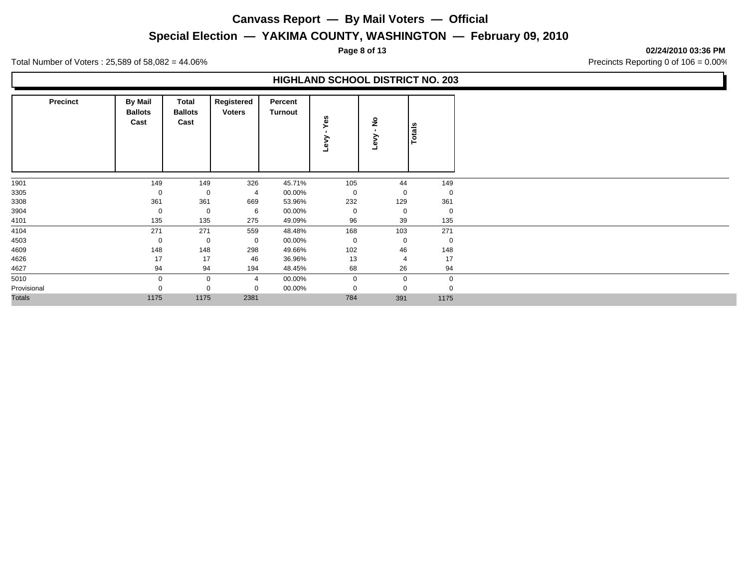**Special Election — YAKIMA COUNTY, WASHINGTON — February 09, 2010**

**HIGHLAND SCHOOL DISTRICT NO. 203**

**Page 8 of 13 02/24/2010 03:36 PM**

Total Number of Voters : 25,589 of 58,082 = 44.06% Precincts Reporting 0 of 106 = 0.00%

| <b>Precinct</b> | <b>By Mail</b><br><b>Ballots</b><br>Cast | Total<br><b>Ballots</b><br>Cast | Registered<br><b>Voters</b> | Percent<br>Turnout | Yes<br>⋋<br>ڡ۠ | $\frac{1}{2}$<br>⋋<br>Lev | <b>Totals</b> |
|-----------------|------------------------------------------|---------------------------------|-----------------------------|--------------------|----------------|---------------------------|---------------|
| 1901            | 149                                      | 149                             | 326                         | 45.71%             | 105            | 44                        | 149           |
| 3305            | 0                                        | 0                               | $\overline{4}$              | 00.00%             | $\mathbf 0$    | $\mathbf 0$               | $\mathbf 0$   |
| 3308            | 361                                      | 361                             | 669                         | 53.96%             | 232            | 129                       | 361           |
| 3904            | 0                                        | 0                               | 6                           | 00.00%             | 0              | $\mathbf 0$               | $\mathbf 0$   |
| 4101            | 135                                      | 135                             | 275                         | 49.09%             | 96             | 39                        | 135           |
| 4104            | 271                                      | 271                             | 559                         | 48.48%             | 168            | 103                       | 271           |
| 4503            | 0                                        | $\mathbf 0$                     | $\mathbf 0$                 | 00.00%             | 0              | $\mathbf 0$               | $\mathbf 0$   |
| 4609            | 148                                      | 148                             | 298                         | 49.66%             | 102            | 46                        | 148           |
| 4626            | 17                                       | 17                              | 46                          | 36.96%             | 13             | 4                         | 17            |
| 4627            | 94                                       | 94                              | 194                         | 48.45%             | 68             | 26                        | 94            |
| 5010            | $\mathbf 0$                              | $\mathbf 0$                     | $\overline{4}$              | 00.00%             | $\mathbf 0$    | $\mathbf{0}$              | $\mathbf 0$   |
| Provisional     | $\Omega$                                 | $\mathbf 0$                     | $\mathbf 0$                 | 00.00%             | $\Omega$       | $\mathbf 0$               | $\Omega$      |
| Totals          | 1175                                     | 1175                            | 2381                        |                    | 784            | 391                       | 1175          |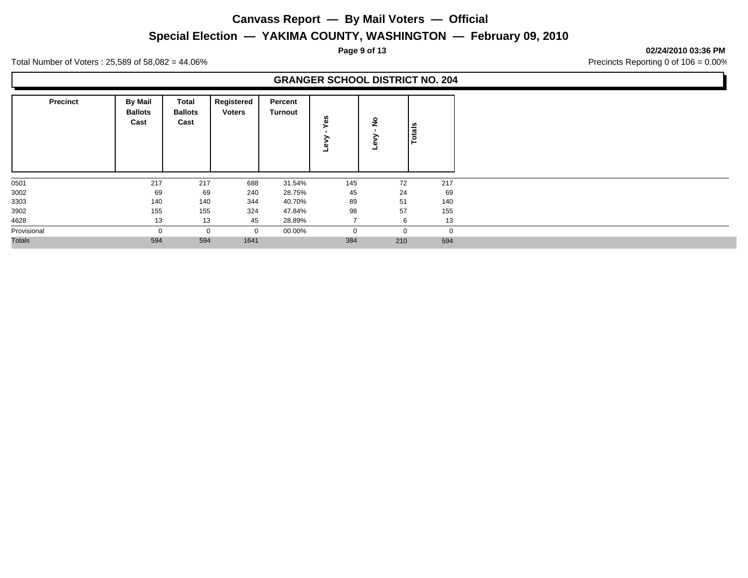**Special Election — YAKIMA COUNTY, WASHINGTON — February 09, 2010**

**Page 9 of 13 02/24/2010 03:36 PM**

Total Number of Voters : 25,589 of 58,082 = 44.06% Precincts Reporting 0 of 106 = 0.00%

### **GRANGER SCHOOL DISTRICT NO. 204**

| <b>Precinct</b> | <b>By Mail</b><br><b>Ballots</b><br>Cast | Total<br><b>Ballots</b><br>Cast | Registered<br><b>Voters</b> | Percent<br><b>Turnout</b> | w<br>Φ       | <u>۽</u>    | Totals         |
|-----------------|------------------------------------------|---------------------------------|-----------------------------|---------------------------|--------------|-------------|----------------|
| 0501            | 217                                      | 217                             | 688                         | 31.54%                    | 145          | 72          | 217            |
| 3002            | 69                                       | 69                              | 240                         | 28.75%                    | 45           | 24          | 69             |
| 3303            | 140                                      | 140                             | 344                         | 40.70%                    | 89           | 51          | 140            |
| 3902            | 155                                      | 155                             | 324                         | 47.84%                    | 98           | 57          | 155            |
| 4628            | 13                                       | 13                              | 45                          | 28.89%                    |              | 6           | 13             |
| Provisional     | $\Omega$                                 | $\mathbf 0$                     | $\mathbf 0$                 | 00.00%                    | $\mathbf{0}$ | $\mathbf 0$ | $\overline{0}$ |
| <b>Totals</b>   | 594                                      | 594                             | 1641                        |                           | 384          | 210         | 594            |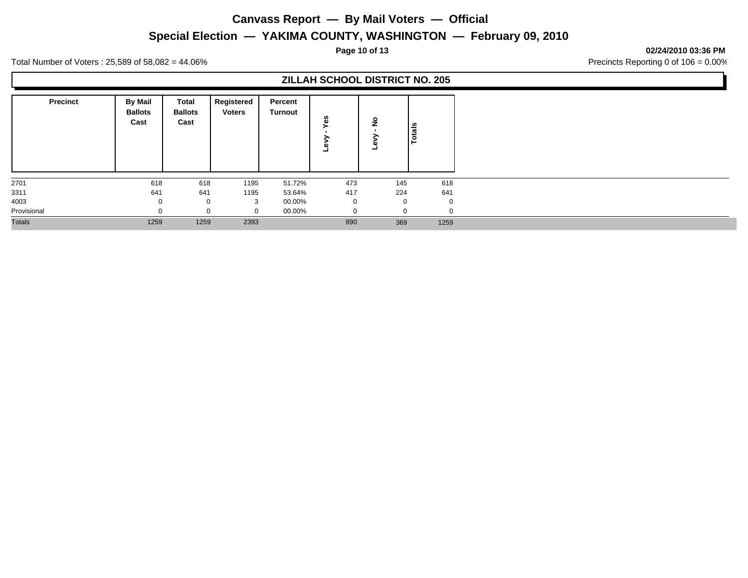### **Special Election — YAKIMA COUNTY, WASHINGTON — February 09, 2010**

**Page 10 of 13 02/24/2010 03:36 PM**

Total Number of Voters : 25,589 of 58,082 = 44.06% Precincts Reporting 0 of 106 = 0.00%

### **ZILLAH SCHOOL DISTRICT NO. 205**

| <b>Precinct</b> | <b>By Mail</b><br><b>Ballots</b><br>Cast | Total<br><b>Ballots</b><br>Cast | Registered<br><b>Voters</b> | Percent<br><b>Turnout</b> | w<br>ω   | ۽        | otals          |
|-----------------|------------------------------------------|---------------------------------|-----------------------------|---------------------------|----------|----------|----------------|
| 2701            | 618                                      | 618                             | 1195                        | 51.72%                    | 473      | 145      | 618            |
| 3311            | 641                                      | 641                             | 1195                        | 53.64%                    | 417      | 224      | 641            |
| 4003            |                                          | U                               | 3                           | 00.00%                    | 0        | $\Omega$ | $\overline{0}$ |
| Provisional     |                                          | $\sim$                          | $\Omega$                    | 00.00%                    | $\Omega$ | $\Omega$ | $\Omega$       |
| <b>Totals</b>   | 1259                                     | 1259                            | 2393                        |                           | 890      | 369      | 1259           |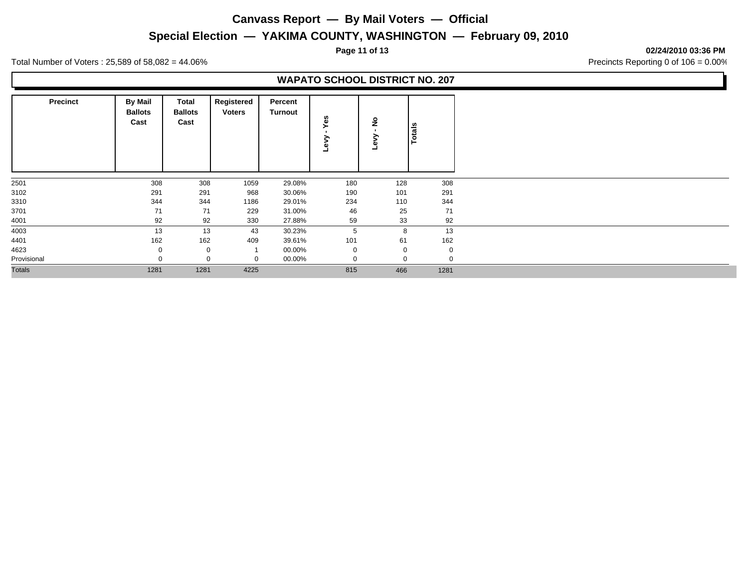**Special Election — YAKIMA COUNTY, WASHINGTON — February 09, 2010**

**Page 11 of 13 02/24/2010 03:36 PM**

Total Number of Voters : 25,589 of 58,082 = 44.06% Precincts Reporting 0 of 106 = 0.00%

### **WAPATO SCHOOL DISTRICT NO. 207**

| <b>Precinct</b> | <b>By Mail</b><br><b>Ballots</b><br>Cast | Total<br><b>Ballots</b><br>Cast | Registered<br><b>Voters</b> | Percent<br>Turnout | es<br>≩<br>Φ | ş        | <b>Totals</b> |
|-----------------|------------------------------------------|---------------------------------|-----------------------------|--------------------|--------------|----------|---------------|
| 2501            | 308                                      | 308                             | 1059                        | 29.08%             | 180          | 128      | 308           |
| 3102            | 291                                      | 291                             | 968                         | 30.06%             | 190          | 101      | 291           |
| 3310            | 344                                      | 344                             | 1186                        | 29.01%             | 234          | 110      | 344           |
| 3701            | 71                                       | 71                              | 229                         | 31.00%             | 46           | 25       | 71            |
| 4001            | 92                                       | 92                              | 330                         | 27.88%             | 59           | 33       | 92            |
| 4003            | 13                                       | 13                              | 43                          | 30.23%             | 5            | 8        | 13            |
| 4401            | 162                                      | 162                             | 409                         | 39.61%             | 101          | 61       | 162           |
| 4623            |                                          | 0                               |                             | 00.00%             | 0            | 0        | $\Omega$      |
| Provisional     |                                          | 0                               | $\Omega$                    | 00.00%             | 0            | $\Omega$ |               |
| <b>Totals</b>   | 1281                                     | 1281                            | 4225                        |                    | 815          | 466      | 1281          |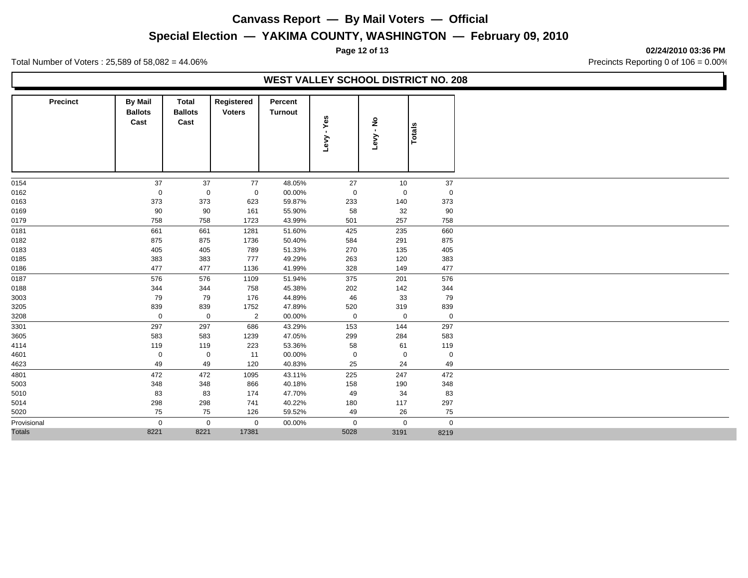**Special Election — YAKIMA COUNTY, WASHINGTON — February 09, 2010**

**Page 12 of 13 02/24/2010 03:36 PM**

Total Number of Voters : 25,589 of 58,082 = 44.06% Precincts Reporting 0 of 106 = 0.00%

### **WEST VALLEY SCHOOL DISTRICT NO. 208**

| <b>Precinct</b> | <b>By Mail</b><br><b>Ballots</b><br>Cast | Total<br><b>Ballots</b><br>Cast | Registered<br><b>Voters</b> | Percent<br><b>Turnout</b> | - Yes<br><b>Levy</b> | Levy - No   | Totals      |
|-----------------|------------------------------------------|---------------------------------|-----------------------------|---------------------------|----------------------|-------------|-------------|
| 0154            | 37                                       | 37                              | 77                          | 48.05%                    | 27                   | 10          | 37          |
| 0162            | $\boldsymbol{0}$                         | $\mathbf 0$                     | $\mathbf 0$                 | 00.00%                    | $\mathbf 0$          | 0           | $\mathbf 0$ |
| 0163            | 373                                      | 373                             | 623                         | 59.87%                    | 233                  | 140         | 373         |
| 0169            | 90                                       | 90                              | 161                         | 55.90%                    | 58                   | 32          | 90          |
| 0179            | 758                                      | 758                             | 1723                        | 43.99%                    | 501                  | 257         | 758         |
| 0181            | 661                                      | 661                             | 1281                        | 51.60%                    | 425                  | 235         | 660         |
| 0182            | 875                                      | 875                             | 1736                        | 50.40%                    | 584                  | 291         | 875         |
| 0183            | 405                                      | 405                             | 789                         | 51.33%                    | 270                  | 135         | 405         |
| 0185            | 383                                      | 383                             | 777                         | 49.29%                    | 263                  | 120         | 383         |
| 0186            | 477                                      | 477                             | 1136                        | 41.99%                    | 328                  | 149         | 477         |
| 0187            | 576                                      | 576                             | 1109                        | 51.94%                    | 375                  | 201         | 576         |
| 0188            | 344                                      | 344                             | 758                         | 45.38%                    | 202                  | 142         | 344         |
| 3003            | 79                                       | 79                              | 176                         | 44.89%                    | 46                   | 33          | 79          |
| 3205            | 839                                      | 839                             | 1752                        | 47.89%                    | 520                  | 319         | 839         |
| 3208            | $\mathbf 0$                              | $\boldsymbol{0}$                | $\overline{2}$              | 00.00%                    | $\mathbf 0$          | $\mathbf 0$ | $\mathbf 0$ |
| 3301            | 297                                      | 297                             | 686                         | 43.29%                    | 153                  | 144         | 297         |
| 3605            | 583                                      | 583                             | 1239                        | 47.05%                    | 299                  | 284         | 583         |
| 4114            | 119                                      | 119                             | 223                         | 53.36%                    | 58                   | 61          | 119         |
| 4601            | $\mathbf 0$                              | $\boldsymbol{0}$                | 11                          | 00.00%                    | $\mathbf 0$          | $\mathbf 0$ | $\mathbf 0$ |
| 4623            | 49                                       | 49                              | 120                         | 40.83%                    | 25                   | 24          | 49          |
| 4801            | 472                                      | 472                             | 1095                        | 43.11%                    | 225                  | 247         | 472         |
| 5003            | 348                                      | 348                             | 866                         | 40.18%                    | 158                  | 190         | 348         |
| 5010            | 83                                       | 83                              | 174                         | 47.70%                    | 49                   | 34          | 83          |
| 5014            | 298                                      | 298                             | 741                         | 40.22%                    | 180                  | 117         | 297         |
| 5020            | 75                                       | 75                              | 126                         | 59.52%                    | 49                   | 26          | 75          |
| Provisional     | $\mathbf 0$                              | $\mathbf 0$                     | $\mathbf 0$                 | 00.00%                    | $\mathbf 0$          | $\mathbf 0$ | $\mathbf 0$ |
| <b>Totals</b>   | 8221                                     | 8221                            | 17381                       |                           | 5028                 | 3191        | 8219        |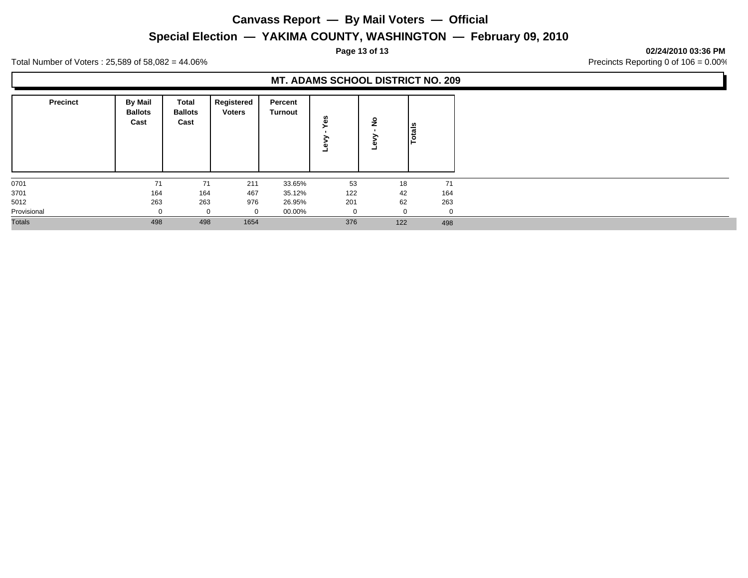### **Special Election — YAKIMA COUNTY, WASHINGTON — February 09, 2010**

**Page 13 of 13 02/24/2010 03:36 PM**

Total Number of Voters : 25,589 of 58,082 = 44.06% Precincts Reporting 0 of 106 = 0.00%

### **MT. ADAMS SCHOOL DISTRICT NO. 209 Precinct** | By Mail | Total **Ballots Cast Total Registered Ballots Cast Voters Turnout Percent Totals Levy - Yes Levy - No** 0701 71 71 211 33.65% 53 18 71 3701 164 164 467 35.12% 122 42 164 5012 263 263 976 26.95% 201 62 263 Provisional 0 0 0 00.00% 0 0 0 Totals 498 498 1654 376 122 498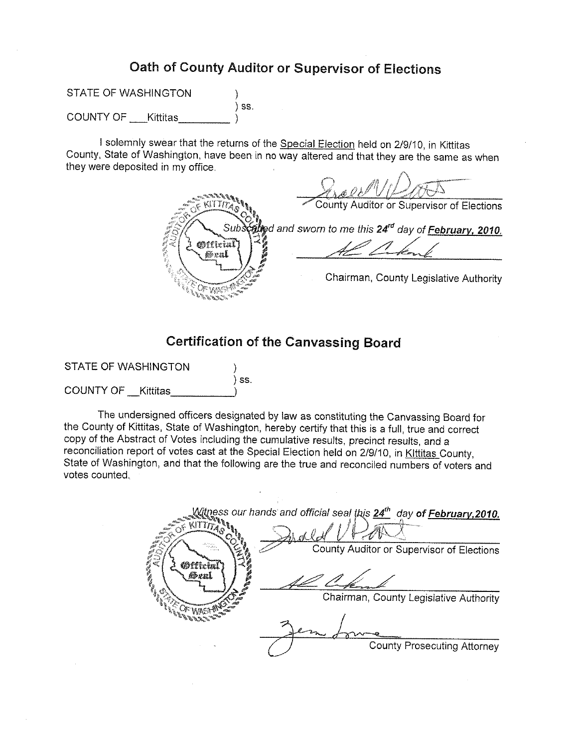# Oath of County Auditor or Supervisor of Elections

STATE OF WASHINGTON ⟩  $)$  ss. **COUNTY OF** Kittitas

I solemnly swear that the returns of the Special Election held on 2/9/10, in Kittitas County, State of Washington, have been in no way altered and that they are the same as when they were deposited in my office.

County Auditor or Supervisor of Elections **นี้≿ะ**d and sworn to me this 24″<sup>d</sup> da∨ of **February, 2010**, Official Chairman, County Legislative Authority

## **Certification of the Canvassing Board**

**STATE OF WASHINGTON**  $\overline{\phantom{a}}$  ss. **COUNTY OF Kittitas** 

The undersigned officers designated by law as constituting the Canvassing Board for the County of Kittitas, State of Washington, hereby certify that this is a full, true and correct copy of the Abstract of Votes including the cumulative results, precinct results, and a reconciliation report of votes cast at the Special Election held on 2/9/10, in Kittitas County, State of Washington, and that the following are the true and reconciled numbers of voters and votes counted.

 $\mathcal{N}$ tness our hands and official seal this  $24^{th}$  day **of February 2010.**  $4 \overline{\text{Tr}} \overline{\text{Tr}}$ County Auditor or Supervisor of Elections Øffiria Sexl Chairman, County Legislative Authority **County Prosecuting Attorney**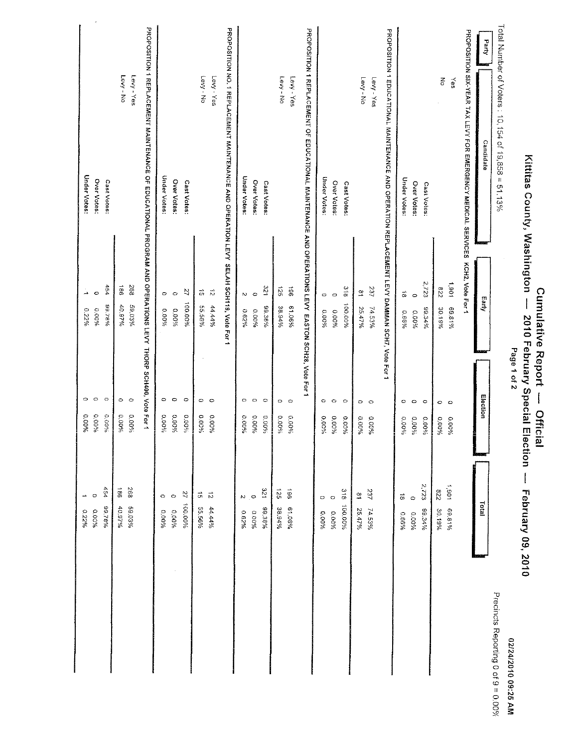| Total Number of Voters : 10, 154 of 19,858 = 51.13%<br>PROPOSITION 1 REPLACEMENT MAINTENANCE OF EDUCATIONAL PROGRAM AND OPERATIONS LEVY THORP SCH406, Vote For 1<br>PROPOSITION NO. 1 REPLACEMENT MAINTENANCE AND OPERATION LEVY SELAH SCH119, Vote For 1<br>PROPOSITION 1 REPLACEMENT OF EDUCATIONAL MAINTENANCE AND OPERATIONS LEVY EASTON SCH28, Vote For 1<br>PROPOSITION 1 EDUCATIONAL MAINTENANCE AND OPERATION REPLACEMENT LEVY DAMMAN SCHI7, Vote For 1<br>PRODOSITION SIX-YEAR TAX LEAR DOUR MEMERGEMON MERICE OF SERVICES ACHONOSITION SIX-YEAR T<br><b>Aure</b><br>Levy - No<br>Levy - Yes<br>Levy - No<br>Levy - Yes<br>Levy - No<br>Levy - Yes<br>Levy - No<br>Levy - Yes<br>중<br>S⊜入<br>Candidate<br><b>Under Votes:</b><br>Under Votes:<br>Under Votes:<br>Under Votes:<br><b>Under Votes:</b><br>Over Votes:<br>Over Votes:<br>Cast Votes:<br>Cast Votes:<br>Over Votes:<br>Over Votes:<br>Cast Votes:<br>Cast Votes:<br>Over Votes:<br>Cast Votes:<br>2.723<br>1,907<br>454<br>$\overrightarrow{98}$<br>268<br>120<br>961<br>125<br>$\frac{6}{10}$<br>237<br>228<br>ä,<br>$\tilde{\mathcal{L}}$<br>$\vec{D}$<br>$\frac{\infty}{\infty}$<br>$\vec{\infty}$<br>anda.<br>$\circ$<br>$\circ$<br>$\circ$<br>N<br>$\circ$<br>$\circ$<br>O<br>$\circ$<br><b>Ausa</b><br>100.00%<br>100.00%<br>96.78%<br>59 03%<br>44.44%<br>55.56%<br>%26.01<br>61.06%<br>99.38%<br>38.94%<br>7453%<br>89.34%<br>69.81%<br>25.47%<br>30.19%<br>6.22%<br>9,00%<br>96000<br>0.00%<br>96290<br>0.00%<br>96000<br>0.00%<br>0.66%<br>9600'0<br>Election<br>$\circ$<br>$\circ$<br>$\circ$<br>$\circ$<br>$\circ$<br>$\circ$<br>$\circ$<br>$\circ$<br>$\circ$<br>$\circ$<br>$\circ$<br>$\circ$<br>$\circ$<br>O<br>$\circ$<br>O<br>$\circ$<br>$\circ$<br>$\circ$<br>$\circ$<br>$\circ$<br>O<br>$\circ$<br>$O$ $O$<br>$0.00\%$<br>$0.00\%$<br>$0.00^{9}$ io<br>0.00%<br>0.00%<br>0.00%<br>9,00%<br>0.00%<br>0.00%<br>0.00%<br>0.00%<br>6,00%<br>0.00%<br>0.00%<br>0.00%<br>0.00%<br>0.00%<br>0.00%<br>0.00%<br>0.00%<br>9600.0<br><b>0.00%</b><br>0.00%<br>0.00%<br>0.00% |  | Page 1 of 2 | February 09, 2010                      |                                                           |
|-----------------------------------------------------------------------------------------------------------------------------------------------------------------------------------------------------------------------------------------------------------------------------------------------------------------------------------------------------------------------------------------------------------------------------------------------------------------------------------------------------------------------------------------------------------------------------------------------------------------------------------------------------------------------------------------------------------------------------------------------------------------------------------------------------------------------------------------------------------------------------------------------------------------------------------------------------------------------------------------------------------------------------------------------------------------------------------------------------------------------------------------------------------------------------------------------------------------------------------------------------------------------------------------------------------------------------------------------------------------------------------------------------------------------------------------------------------------------------------------------------------------------------------------------------------------------------------------------------------------------------------------------------------------------------------------------------------------------------------------------------------------------------------------------------------------------------------------------------------------------------------------------------------------------------------------------------------------------------------------------------------------------------------------------------------|--|-------------|----------------------------------------|-----------------------------------------------------------|
|                                                                                                                                                                                                                                                                                                                                                                                                                                                                                                                                                                                                                                                                                                                                                                                                                                                                                                                                                                                                                                                                                                                                                                                                                                                                                                                                                                                                                                                                                                                                                                                                                                                                                                                                                                                                                                                                                                                                                                                                                                                           |  |             |                                        | Precincts Reporting 0 of 9 = 0.00%<br>02/24/2010 09:25 AM |
|                                                                                                                                                                                                                                                                                                                                                                                                                                                                                                                                                                                                                                                                                                                                                                                                                                                                                                                                                                                                                                                                                                                                                                                                                                                                                                                                                                                                                                                                                                                                                                                                                                                                                                                                                                                                                                                                                                                                                                                                                                                           |  |             | Total                                  |                                                           |
|                                                                                                                                                                                                                                                                                                                                                                                                                                                                                                                                                                                                                                                                                                                                                                                                                                                                                                                                                                                                                                                                                                                                                                                                                                                                                                                                                                                                                                                                                                                                                                                                                                                                                                                                                                                                                                                                                                                                                                                                                                                           |  |             |                                        |                                                           |
|                                                                                                                                                                                                                                                                                                                                                                                                                                                                                                                                                                                                                                                                                                                                                                                                                                                                                                                                                                                                                                                                                                                                                                                                                                                                                                                                                                                                                                                                                                                                                                                                                                                                                                                                                                                                                                                                                                                                                                                                                                                           |  |             | 106'<br>728<br>30.19%<br>69.81%        |                                                           |
|                                                                                                                                                                                                                                                                                                                                                                                                                                                                                                                                                                                                                                                                                                                                                                                                                                                                                                                                                                                                                                                                                                                                                                                                                                                                                                                                                                                                                                                                                                                                                                                                                                                                                                                                                                                                                                                                                                                                                                                                                                                           |  |             | 2,723<br>99.34%                        |                                                           |
|                                                                                                                                                                                                                                                                                                                                                                                                                                                                                                                                                                                                                                                                                                                                                                                                                                                                                                                                                                                                                                                                                                                                                                                                                                                                                                                                                                                                                                                                                                                                                                                                                                                                                                                                                                                                                                                                                                                                                                                                                                                           |  |             | $\vec{a}$<br>$\circ$<br>0.00%<br>0.66% |                                                           |
|                                                                                                                                                                                                                                                                                                                                                                                                                                                                                                                                                                                                                                                                                                                                                                                                                                                                                                                                                                                                                                                                                                                                                                                                                                                                                                                                                                                                                                                                                                                                                                                                                                                                                                                                                                                                                                                                                                                                                                                                                                                           |  |             |                                        |                                                           |
|                                                                                                                                                                                                                                                                                                                                                                                                                                                                                                                                                                                                                                                                                                                                                                                                                                                                                                                                                                                                                                                                                                                                                                                                                                                                                                                                                                                                                                                                                                                                                                                                                                                                                                                                                                                                                                                                                                                                                                                                                                                           |  |             | 237<br>74.53%                          |                                                           |
|                                                                                                                                                                                                                                                                                                                                                                                                                                                                                                                                                                                                                                                                                                                                                                                                                                                                                                                                                                                                                                                                                                                                                                                                                                                                                                                                                                                                                                                                                                                                                                                                                                                                                                                                                                                                                                                                                                                                                                                                                                                           |  |             | $\approx$<br>25.47%                    |                                                           |
|                                                                                                                                                                                                                                                                                                                                                                                                                                                                                                                                                                                                                                                                                                                                                                                                                                                                                                                                                                                                                                                                                                                                                                                                                                                                                                                                                                                                                                                                                                                                                                                                                                                                                                                                                                                                                                                                                                                                                                                                                                                           |  |             | 318<br>960'004                         |                                                           |
|                                                                                                                                                                                                                                                                                                                                                                                                                                                                                                                                                                                                                                                                                                                                                                                                                                                                                                                                                                                                                                                                                                                                                                                                                                                                                                                                                                                                                                                                                                                                                                                                                                                                                                                                                                                                                                                                                                                                                                                                                                                           |  |             | $\circ$<br>9,00%                       |                                                           |
|                                                                                                                                                                                                                                                                                                                                                                                                                                                                                                                                                                                                                                                                                                                                                                                                                                                                                                                                                                                                                                                                                                                                                                                                                                                                                                                                                                                                                                                                                                                                                                                                                                                                                                                                                                                                                                                                                                                                                                                                                                                           |  |             | O<br>0.00%                             |                                                           |
|                                                                                                                                                                                                                                                                                                                                                                                                                                                                                                                                                                                                                                                                                                                                                                                                                                                                                                                                                                                                                                                                                                                                                                                                                                                                                                                                                                                                                                                                                                                                                                                                                                                                                                                                                                                                                                                                                                                                                                                                                                                           |  |             | 961<br>61.06%                          |                                                           |
|                                                                                                                                                                                                                                                                                                                                                                                                                                                                                                                                                                                                                                                                                                                                                                                                                                                                                                                                                                                                                                                                                                                                                                                                                                                                                                                                                                                                                                                                                                                                                                                                                                                                                                                                                                                                                                                                                                                                                                                                                                                           |  |             | 521<br>38.94%                          |                                                           |
|                                                                                                                                                                                                                                                                                                                                                                                                                                                                                                                                                                                                                                                                                                                                                                                                                                                                                                                                                                                                                                                                                                                                                                                                                                                                                                                                                                                                                                                                                                                                                                                                                                                                                                                                                                                                                                                                                                                                                                                                                                                           |  |             | 178<br>98.38%                          |                                                           |
|                                                                                                                                                                                                                                                                                                                                                                                                                                                                                                                                                                                                                                                                                                                                                                                                                                                                                                                                                                                                                                                                                                                                                                                                                                                                                                                                                                                                                                                                                                                                                                                                                                                                                                                                                                                                                                                                                                                                                                                                                                                           |  |             | $\circ$<br>0.00%                       |                                                           |
|                                                                                                                                                                                                                                                                                                                                                                                                                                                                                                                                                                                                                                                                                                                                                                                                                                                                                                                                                                                                                                                                                                                                                                                                                                                                                                                                                                                                                                                                                                                                                                                                                                                                                                                                                                                                                                                                                                                                                                                                                                                           |  |             | Z<br>9,82%                             |                                                           |
|                                                                                                                                                                                                                                                                                                                                                                                                                                                                                                                                                                                                                                                                                                                                                                                                                                                                                                                                                                                                                                                                                                                                                                                                                                                                                                                                                                                                                                                                                                                                                                                                                                                                                                                                                                                                                                                                                                                                                                                                                                                           |  |             | $\vec{\tilde{\omega}}$<br>44.44%       |                                                           |
|                                                                                                                                                                                                                                                                                                                                                                                                                                                                                                                                                                                                                                                                                                                                                                                                                                                                                                                                                                                                                                                                                                                                                                                                                                                                                                                                                                                                                                                                                                                                                                                                                                                                                                                                                                                                                                                                                                                                                                                                                                                           |  |             | 5<br>55.56%                            |                                                           |
|                                                                                                                                                                                                                                                                                                                                                                                                                                                                                                                                                                                                                                                                                                                                                                                                                                                                                                                                                                                                                                                                                                                                                                                                                                                                                                                                                                                                                                                                                                                                                                                                                                                                                                                                                                                                                                                                                                                                                                                                                                                           |  |             | $\overline{1}$<br>100.00%              |                                                           |
|                                                                                                                                                                                                                                                                                                                                                                                                                                                                                                                                                                                                                                                                                                                                                                                                                                                                                                                                                                                                                                                                                                                                                                                                                                                                                                                                                                                                                                                                                                                                                                                                                                                                                                                                                                                                                                                                                                                                                                                                                                                           |  |             | $\circ$<br>9,00%                       |                                                           |
|                                                                                                                                                                                                                                                                                                                                                                                                                                                                                                                                                                                                                                                                                                                                                                                                                                                                                                                                                                                                                                                                                                                                                                                                                                                                                                                                                                                                                                                                                                                                                                                                                                                                                                                                                                                                                                                                                                                                                                                                                                                           |  |             | $\circ$<br>0.00%                       |                                                           |
|                                                                                                                                                                                                                                                                                                                                                                                                                                                                                                                                                                                                                                                                                                                                                                                                                                                                                                                                                                                                                                                                                                                                                                                                                                                                                                                                                                                                                                                                                                                                                                                                                                                                                                                                                                                                                                                                                                                                                                                                                                                           |  |             |                                        |                                                           |
|                                                                                                                                                                                                                                                                                                                                                                                                                                                                                                                                                                                                                                                                                                                                                                                                                                                                                                                                                                                                                                                                                                                                                                                                                                                                                                                                                                                                                                                                                                                                                                                                                                                                                                                                                                                                                                                                                                                                                                                                                                                           |  |             | 268<br>59.03%                          |                                                           |
|                                                                                                                                                                                                                                                                                                                                                                                                                                                                                                                                                                                                                                                                                                                                                                                                                                                                                                                                                                                                                                                                                                                                                                                                                                                                                                                                                                                                                                                                                                                                                                                                                                                                                                                                                                                                                                                                                                                                                                                                                                                           |  |             | $\overline{98}$<br>40.97%              |                                                           |
|                                                                                                                                                                                                                                                                                                                                                                                                                                                                                                                                                                                                                                                                                                                                                                                                                                                                                                                                                                                                                                                                                                                                                                                                                                                                                                                                                                                                                                                                                                                                                                                                                                                                                                                                                                                                                                                                                                                                                                                                                                                           |  |             | 4.54<br>99.78%                         |                                                           |
|                                                                                                                                                                                                                                                                                                                                                                                                                                                                                                                                                                                                                                                                                                                                                                                                                                                                                                                                                                                                                                                                                                                                                                                                                                                                                                                                                                                                                                                                                                                                                                                                                                                                                                                                                                                                                                                                                                                                                                                                                                                           |  |             | $\circ$<br>0.00%                       |                                                           |
|                                                                                                                                                                                                                                                                                                                                                                                                                                                                                                                                                                                                                                                                                                                                                                                                                                                                                                                                                                                                                                                                                                                                                                                                                                                                                                                                                                                                                                                                                                                                                                                                                                                                                                                                                                                                                                                                                                                                                                                                                                                           |  |             | $\rightarrow$<br>0.22%                 |                                                           |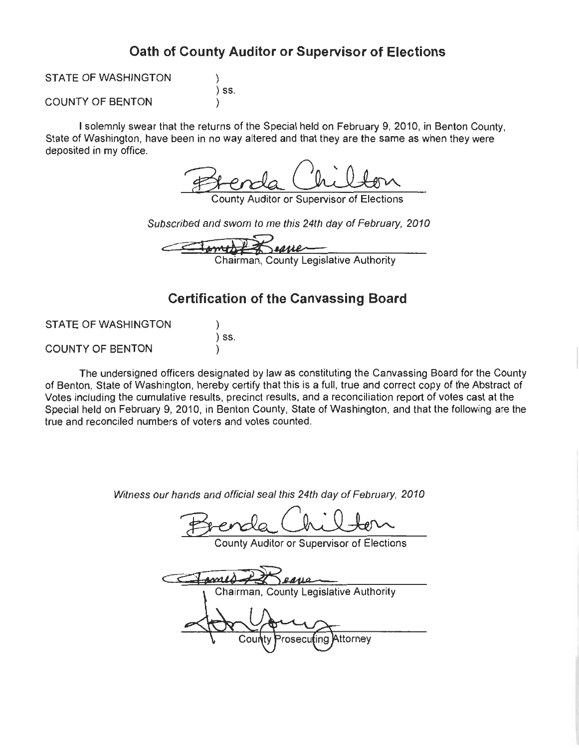# Oath of County Auditor or Supervisor of Elections

**STATE OF WASHINGTON**  $)$  SS. **COUNTY OF BENTON** 

I solemnly swear that the returns of the Special held on February 9, 2010, in Benton County, State of Washington, have been in no way altered and that they are the same as when they were deposited in my office.

ounty Auditor or Supervisor of Elections

Subscribed and sworn to me this 24th day of February, 2010

Chairman, County Legislative Authority

# **Certification of the Canvassing Board**

| <b>STATE OF WASHINGTON</b> |                              |
|----------------------------|------------------------------|
|                            | $\overline{\phantom{a}}$ SS. |
| <b>COUNTY OF BENTON</b>    |                              |

The undersigned officers designated by law as constituting the Canvassing Board for the County of Benton, State of Washington, hereby certify that this is a full, true and correct copy of the Abstract of Votes including the cumulative results, precinct results, and a reconciliation report of votes cast at the Special held on February 9, 2010, in Benton County, State of Washington, and that the following are the true and reconciled numbers of voters and votes counted.

Witness our hands and official seal this 24th day of February, 2010

County Auditor or Supervisor of Elections

Chairman, County Legislative Authority osecul Attorney Cou lina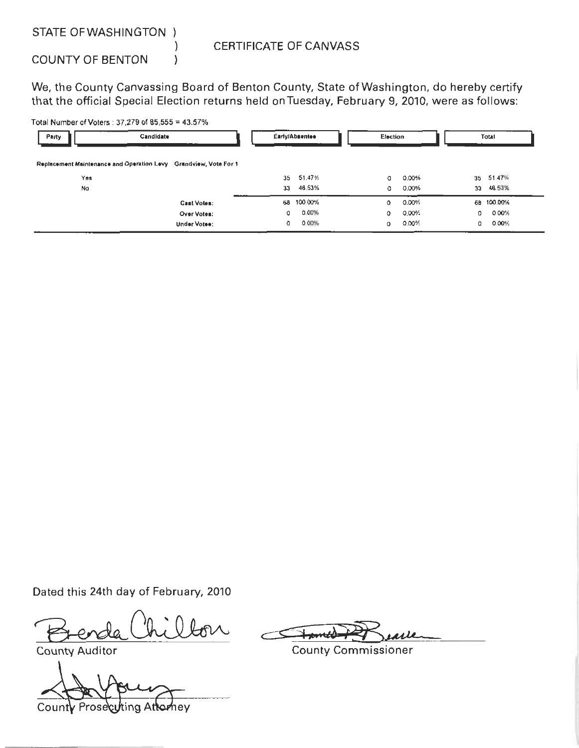STATE OF WASHINGTON )

**COUNTY OF BENTON** 

### **CERTIFICATE OF CANVASS**

We, the County Canvassing Board of Benton County, State of Washington, do hereby certify that the official Special Election returns held on Tuesday, February 9, 2010, were as follows:

Total Number of Voters: 37,279 of 85,555 = 43.57%

 $\mathcal{E}$ 

| Party                                                            | <b>Candidate</b>   |    | Early/Absentee | Election |       |            | Total      |
|------------------------------------------------------------------|--------------------|----|----------------|----------|-------|------------|------------|
| Replacement Maintenance and Operation Levy Grandview, Vote For 1 |                    |    |                |          |       |            |            |
| Yes                                                              |                    | 35 | 51.47%         | 0        | 0.00% |            | 35 51.47%  |
| No                                                               |                    | 33 | 48.53%         | 0        | 0.00% | 33         | 48.53%     |
|                                                                  | <b>Cast Votes:</b> | 68 | 100.00%        | 0        | 0.00% |            | 68 100.00% |
|                                                                  | Over Votes:        | 0  | 0.00%          | 0        | 0.00% | 0          | 0.00%      |
|                                                                  | Under Votee:       | 0  | 0.00%          | 0        | 0.00% | $^{\circ}$ | 0.00%      |

Dated this 24th day of February, 2010

**County Auditor** 

Coun Prose hev

**County Commissioner**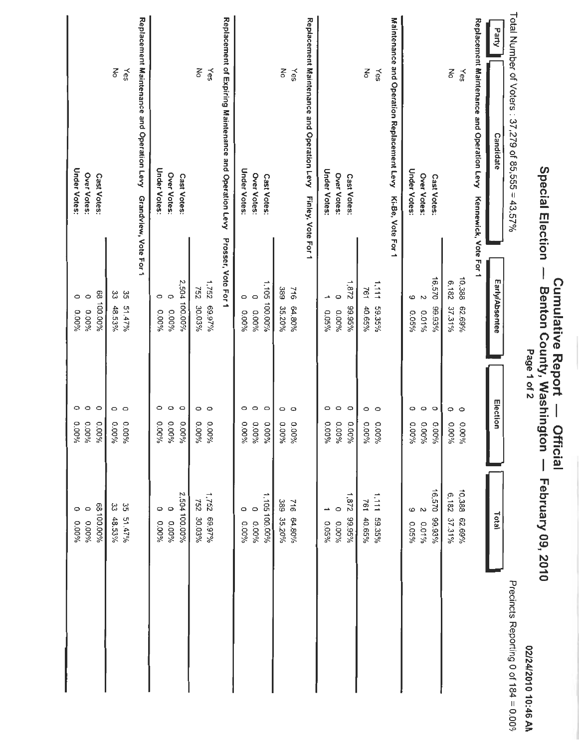|                                            | Special Election                                                                |                                       | Benton County, Washington<br>Page 1 of 2 | February 09, 2010                     | 02/24/2010 10:46 AN                  |
|--------------------------------------------|---------------------------------------------------------------------------------|---------------------------------------|------------------------------------------|---------------------------------------|--------------------------------------|
| Total Number of Voters : 37,279 of 85,555  | $\mathsf{U}% _{t}\left( t\right) \equiv\mathsf{U}_{t}\left( t\right)$<br>43.57% |                                       |                                          |                                       | Precincts Reporting 0 of 184 = 0.00% |
| Party                                      | <b>Candidate</b>                                                                | Early/Absentee                        | Election                                 | Total                                 |                                      |
| Replacement Maintenance and Operation Levy | Kennewick, Vote For 1                                                           |                                       |                                          |                                       |                                      |
| 종<br>Yes                                   |                                                                                 | 10,388<br>6,182<br>62.69%<br>37.31%   | 0<br>$\circ$<br>96000<br>96000           | 10,388<br>6.182<br>62.69%<br>37.31%   |                                      |
|                                            | Cast Votes:                                                                     | 16,570<br>99.93%                      | $\circ$<br>0.00%                         | 16,570<br>99.93%                      |                                      |
|                                            | <b>Under Votes:</b><br>Over Votes:                                              | 6<br>2<br>0.05%<br>0.01%              | O<br>$\circ$<br>0.00%<br>0.00%           | 6<br>2<br>0.01%<br>0.05%              |                                      |
| Maintenance and Operation Replacement Levy | Ki-Be, Vote For 1                                                               |                                       |                                          |                                       |                                      |
| z<br>Yes                                   |                                                                                 | 1,111<br>761<br>59.35%<br>40.65%      | 0<br>$\circ$<br>%00°0<br>0.00%           | 1111<br>761<br>59.35%<br>40.65%       |                                      |
|                                            | Cast Votes:                                                                     | 1,872<br>96.39.95                     | $\circ$<br>0.00%                         | 1,872<br>99.95%                       |                                      |
|                                            | Under Votes:<br>Over Votes:                                                     | Φ<br>→<br>0.00%<br>0.05%              | $\circ$<br>O<br>0.00%<br>0.00%           | $\circ$<br>∸<br>0.00%<br>0.05%        |                                      |
| Replacement Maintenance and Operation Levy | Finley, Vote For 1                                                              |                                       |                                          |                                       |                                      |
| $\xi$<br>Yes                               |                                                                                 | $-16$<br>389<br>64.80%<br>35.20%      | $\circ$<br>$\circ$<br>0.00%<br>%00°0     | 389<br>912<br>64.80%<br>35.20%        |                                      |
|                                            | Cast Votes:                                                                     | 1,105 100.00%                         | $\circ$<br>0.00%                         | 1.105 100.00%                         |                                      |
|                                            | Under Votes:<br>Over Votes:                                                     | $\circ$<br>$\circ$<br>0.00%<br>0.00%  | $\circ$<br>$\circ$<br>0.00%<br>96000     | $\circ$<br>$\circ$<br>9600.0<br>0.00% |                                      |
|                                            | Replacement of Expiring Maintenance and Operation Levy                          | Prosser, Vote For 1                   |                                          |                                       |                                      |
| š<br>Yes                                   |                                                                                 | 1,752<br>757<br>%26'69<br>30.03%      | $\circ$ $\circ$<br>0.00%<br>9600°0       | 1,752<br>752<br>69.97%<br>30.03%      |                                      |
|                                            | Cast Votes:                                                                     | 2,504 100.00%                         | $\circ$<br>0.00%                         | 2,504 100.00%                         |                                      |
|                                            | Under Votes:<br>Over Votes:                                                     | $\circ$<br>$\circ$<br>0.00%<br>960000 | $\circ$<br>$\circ$<br>0.00%<br>0.00%     | $\circ$<br>$\circ$<br>9600.0<br>%00'0 |                                      |
| Replacement Maintenance and Operation Levy | Grandview, Vote For 1                                                           |                                       |                                          |                                       |                                      |
| 중<br>≿es                                   |                                                                                 | 35<br>یئ<br>51.47%<br>48.53%          | $\circ$ $\circ$<br>96000<br>0.00%        | ပ္ပ<br>ပ္ပ<br>51.47%<br>48.53%        |                                      |
|                                            | Cast Votes:                                                                     | 68 100.00%                            | $\circ$<br>0.00%                         | 68100.00%                             |                                      |
|                                            | <b>Under Votes:</b><br>Over Votes:                                              | $\circ$<br>$\circ$<br>0.00%<br>0.00%  | $\circ$<br>$\circ$<br>0.00%<br>9600.0    | $\circ$<br>$\circ$<br>0.00%<br>0.00%  |                                      |
|                                            |                                                                                 |                                       |                                          |                                       |                                      |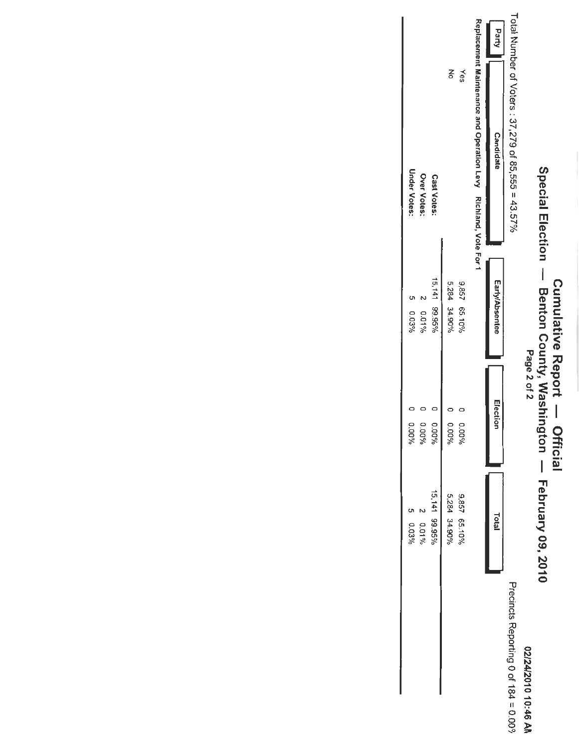|                                      | 2.01%<br>0.03%                                | 0.00%<br>96000  |             | 961010<br>0.03%             | Under Votes:<br>Over Votes:                                     |       |
|--------------------------------------|-----------------------------------------------|-----------------|-------------|-----------------------------|-----------------------------------------------------------------|-------|
|                                      | 15,141 99.95%                                 | 9600.0          |             | 15,141 99.95%               | Cast Votes:                                                     |       |
|                                      | 5,284 34.90%                                  | %00.0           |             | 5,284 34.90%                |                                                                 | š     |
|                                      | 9,857 65.10%                                  | 0.00%           |             | 9,857 65.10%                |                                                                 | ≿es   |
|                                      |                                               |                 |             |                             | Replacement Maintenance and Operation Levy Richland, Vote For 1 |       |
|                                      | <b>Total</b>                                  | Election        |             | Early/Absentee              | Candidate                                                       | Party |
| Precincts Reporting 0 of 184 = 0.00% |                                               |                 |             |                             | Total Number of Voters : 37,279 of 85,555 = 43.57%              |       |
| 02/24/2010 10:46 AN                  |                                               |                 | Page 2 of 2 |                             |                                                                 |       |
|                                      | Benton County, Washington — February 09, 2010 |                 |             |                             | Special Election -                                              |       |
|                                      |                                               | <b>Official</b> |             | <b>Cumulative Report --</b> |                                                                 |       |